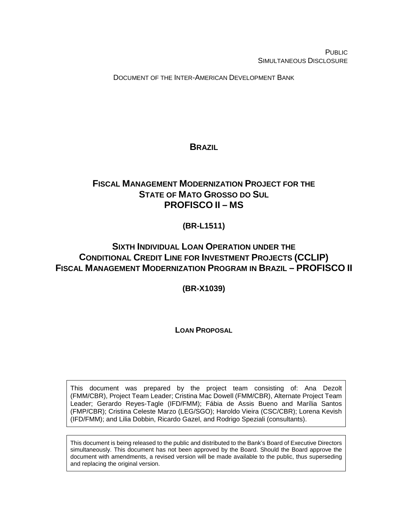**PUBLIC** SIMULTANEOUS DISCLOSURE

DOCUMENT OF THE INTER-AMERICAN DEVELOPMENT BANK

# <span id="page-0-0"></span>**BRAZIL**

# **FISCAL MANAGEMENT MODERNIZATION PROJECT FOR THE STATE OF MATO GROSSO DO SUL PROFISCO II – MS**

# **(BR-L1511)**

# **SIXTH INDIVIDUAL LOAN OPERATION UNDER THE CONDITIONAL CREDIT LINE FOR INVESTMENT PROJECTS (CCLIP) FISCAL MANAGEMENT MODERNIZATION PROGRAM IN BRAZIL – PROFISCO II**

**(BR-X1039)**

# **LOAN PROPOSAL**

This document was prepared by the project team consisting of: Ana Dezolt (FMM/CBR), Project Team Leader; Cristina Mac Dowell (FMM/CBR), Alternate Project Team Leader; Gerardo Reyes-Tagle (IFD/FMM); Fábia de Assis Bueno and Marília Santos (FMP/CBR); Cristina Celeste Marzo (LEG/SGO); Haroldo Vieira (CSC/CBR); Lorena Kevish (IFD/FMM); and Lilia Dobbin, Ricardo Gazel, and Rodrigo Speziali (consultants).

This document is being released to the public and distributed to the Bank's Board of Executive Directors simultaneously. This document has not been approved by the Board. Should the Board approve the document with amendments, a revised version will be made available to the public, thus superseding and replacing the original version.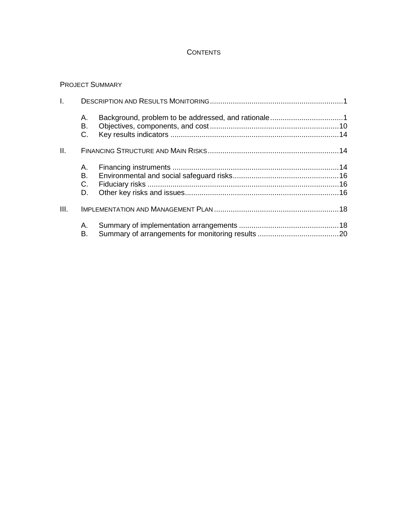## **CONTENTS**

#### PROJECT SUMMARY

| I.   |                           |  |
|------|---------------------------|--|
|      | А.<br>В.<br>C.            |  |
| Ⅱ.   |                           |  |
|      | А.<br>В.<br>$C_{1}$<br>D. |  |
| III. |                           |  |
|      | Α.<br>В.                  |  |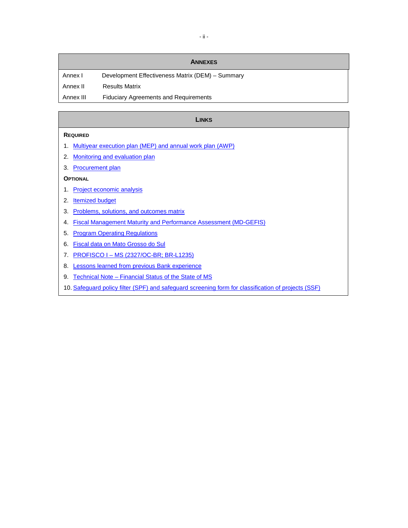#### **ANNEXES**

Annex I Development Effectiveness Matrix (DEM) - Summary Annex II Results Matrix

Annex III Fiduciary Agreements and Requirements

#### **LINKS**

#### **REQUIRED**

- 1. Multiyear execution plan [\(MEP\) and annual work plan](https://idbg.sharepoint.com/teams/EZ-BR-LON/BR-L1511/_layouts/15/DocIdRedir.aspx?ID=EZSHARE-745577444-3) (AWP)
- 2. [Monitoring and evaluation plan](https://idbg.sharepoint.com/teams/EZ-BR-LON/BR-L1511/_layouts/15/DocIdRedir.aspx?ID=EZSHARE-745577444-9)
- 3. [Procurement plan](https://idbg.sharepoint.com/teams/EZ-BR-LON/BR-L1511/_layouts/15/DocIdRedir.aspx?ID=EZSHARE-745577444-10)

#### **OPTIONAL**

- 1. [Project economic analysis](https://idbg.sharepoint.com/teams/EZ-BR-LON/BR-L1511/_layouts/15/DocIdRedir.aspx?ID=EZSHARE-745577444-12)
- 2. **[Itemized](https://idbg.sharepoint.com/teams/EZ-BR-LON/BR-L1511/_layouts/15/DocIdRedir.aspx?ID=EZSHARE-745577444-4) budget**
- 3. [Problems, solutions, and outcomes matrix](https://idbg.sharepoint.com/teams/EZ-BR-LON/BR-L1511/_layouts/15/DocIdRedir.aspx?ID=EZSHARE-745577444-6)
- 4. [Fiscal Management Maturity and Performance Assessment \(MD-GEFIS\)](https://idbg.sharepoint.com/teams/EZ-BR-LON/BR-L1511/_layouts/15/DocIdRedir.aspx?ID=EZSHARE-745577444-7)
- 5. [Program Operating Regulations](https://idbg.sharepoint.com/teams/EZ-BR-LON/BR-L1500/_layouts/15/DocIdRedir.aspx?ID=EZSHARE-1869036552-23)
- 6. [Fiscal data on Mato Grosso do Sul](https://idbg.sharepoint.com/teams/EZ-BR-LON/BR-L1511/_layouts/15/DocIdRedir.aspx?ID=EZSHARE-745577444-11)
- 7. PROFISCO I MS [\(2327/OC-BR; BR-L1235\)](https://idbg.sharepoint.com/teams/EZ-BR-LON/BR-L1511/_layouts/15/DocIdRedir.aspx?ID=EZSHARE-745577444-14)
- 8. [Lessons learned from previous Bank experience](https://idbg.sharepoint.com/teams/EZ-BR-LON/BR-L1500/_layouts/15/DocIdRedir.aspx?ID=EZSHARE-136685644-34)
- 9. Technical Note [Financial Status of the State of MS](https://idbg.sharepoint.com/teams/EZ-BR-LON/BR-L1500/_layouts/15/DocIdRedir.aspx?ID=EZSHARE-745577444-22)
- 10. [Safeguard policy filter \(SPF\) and safeguard screening form for classification of projects \(SSF\)](https://idbg.sharepoint.com/teams/EZ-BR-LON/BR-L1511/_layouts/15/DocIdRedir.aspx?ID=EZSHARE-745577444-28)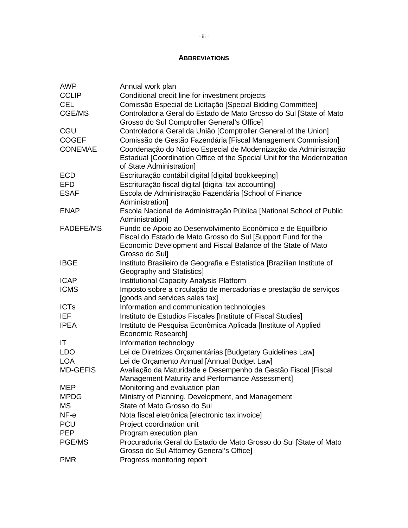#### **ABBREVIATIONS**

| <b>AWP</b>       | Annual work plan                                                                                                                                                       |
|------------------|------------------------------------------------------------------------------------------------------------------------------------------------------------------------|
| <b>CCLIP</b>     | Conditional credit line for investment projects                                                                                                                        |
| <b>CEL</b>       | Comissão Especial de Licitação [Special Bidding Committee]                                                                                                             |
| CGE/MS           | Controladoria Geral do Estado de Mato Grosso do Sul [State of Mato                                                                                                     |
|                  | Grosso do Sul Comptroller General's Office]                                                                                                                            |
| CGU              | Controladoria Geral da União [Comptroller General of the Union]                                                                                                        |
| <b>COGEF</b>     | Comissão de Gestão Fazendária [Fiscal Management Commission]                                                                                                           |
| <b>CONEMAE</b>   | Coordenação do Núcleo Especial de Modernização da Administração<br>Estadual [Coordination Office of the Special Unit for the Modernization<br>of State Administration] |
| <b>ECD</b>       | Escrituração contábil digital [digital bookkeeping]                                                                                                                    |
| <b>EFD</b>       | Escrituração fiscal digital [digital tax accounting]                                                                                                                   |
| <b>ESAF</b>      | Escola de Administração Fazendária [School of Finance                                                                                                                  |
|                  | Administration]                                                                                                                                                        |
| <b>ENAP</b>      | Escola Nacional de Administração Pública [National School of Public<br>Administration]                                                                                 |
| <b>FADEFE/MS</b> | Fundo de Apoio ao Desenvolvimento Econômico e de Equilíbrio                                                                                                            |
|                  | Fiscal do Estado de Mato Grosso do Sul [Support Fund for the                                                                                                           |
|                  | Economic Development and Fiscal Balance of the State of Mato                                                                                                           |
|                  | Grosso do Sul]                                                                                                                                                         |
| <b>IBGE</b>      | Instituto Brasileiro de Geografia e Estatística [Brazilian Institute of                                                                                                |
|                  | <b>Geography and Statistics]</b>                                                                                                                                       |
| <b>ICAP</b>      | <b>Institutional Capacity Analysis Platform</b>                                                                                                                        |
| <b>ICMS</b>      | Imposto sobre a circulação de mercadorias e prestação de serviços                                                                                                      |
|                  | [goods and services sales tax]                                                                                                                                         |
| <b>ICTs</b>      | Information and communication technologies                                                                                                                             |
| <b>IEF</b>       | Instituto de Estudios Fiscales [Institute of Fiscal Studies]                                                                                                           |
| <b>IPEA</b>      | Instituto de Pesquisa Econômica Aplicada [Institute of Applied                                                                                                         |
|                  | Economic Research]                                                                                                                                                     |
| ΙT               | Information technology                                                                                                                                                 |
| <b>LDO</b>       | Lei de Diretrizes Orçamentárias [Budgetary Guidelines Law]                                                                                                             |
| <b>LOA</b>       | Lei de Orçamento Annual [Annual Budget Law]                                                                                                                            |
| <b>MD-GEFIS</b>  | Avaliação da Maturidade e Desempenho da Gestão Fiscal [Fiscal                                                                                                          |
|                  | Management Maturity and Performance Assessment]                                                                                                                        |
| MEP              | Monitoring and evaluation plan                                                                                                                                         |
| <b>MPDG</b>      | Ministry of Planning, Development, and Management                                                                                                                      |
| MS               | State of Mato Grosso do Sul                                                                                                                                            |
| NF-e             | Nota fiscal eletrônica [electronic tax invoice]                                                                                                                        |
| <b>PCU</b>       | Project coordination unit                                                                                                                                              |
| <b>PEP</b>       | Program execution plan                                                                                                                                                 |
| PGE/MS           | Procuraduria Geral do Estado de Mato Grosso do Sul [State of Mato<br>Grosso do Sul Attorney General's Office]                                                          |
| <b>PMR</b>       | Progress monitoring report                                                                                                                                             |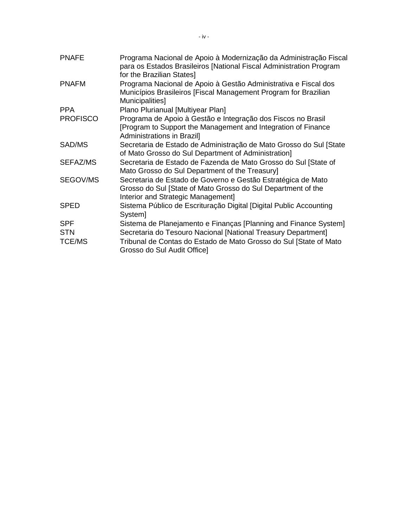| <b>PNAFE</b>                              | Programa Nacional de Apoio à Modernização da Administração Fiscal<br>para os Estados Brasileiros [National Fiscal Administration Program<br>for the Brazilian States]                                                                 |
|-------------------------------------------|---------------------------------------------------------------------------------------------------------------------------------------------------------------------------------------------------------------------------------------|
| <b>PNAFM</b>                              | Programa Nacional de Apoio à Gestão Administrativa e Fiscal dos<br>Municípios Brasileiros [Fiscal Management Program for Brazilian<br>Municipalities]                                                                                 |
| <b>PPA</b>                                | Plano Plurianual [Multiyear Plan]                                                                                                                                                                                                     |
| <b>PROFISCO</b>                           | Programa de Apoio à Gestão e Integração dos Fiscos no Brasil<br>[Program to Support the Management and Integration of Finance<br>Administrations in Brazil]                                                                           |
| SAD/MS                                    | Secretaria de Estado de Administração de Mato Grosso do Sul [State<br>of Mato Grosso do Sul Department of Administration]                                                                                                             |
| SEFAZ/MS                                  | Secretaria de Estado de Fazenda de Mato Grosso do Sul [State of<br>Mato Grosso do Sul Department of the Treasury]                                                                                                                     |
| SEGOV/MS                                  | Secretaria de Estado de Governo e Gestão Estratégica de Mato<br>Grosso do Sul [State of Mato Grosso do Sul Department of the<br>Interior and Strategic Management]                                                                    |
| <b>SPED</b>                               | Sistema Público de Escrituração Digital [Digital Public Accounting<br>System]                                                                                                                                                         |
| <b>SPF</b><br><b>STN</b><br><b>TCE/MS</b> | Sistema de Planejamento e Finanças [Planning and Finance System]<br>Secretaria do Tesouro Nacional [National Treasury Department]<br>Tribunal de Contas do Estado de Mato Grosso do Sul [State of Mato<br>Grosso do Sul Audit Office] |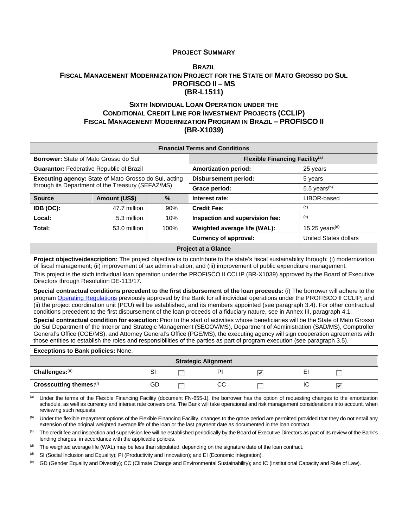#### **PROJECT SUMMARY**

#### **[BRAZIL](#page-0-0) FISCAL MANAGEMENT MODERNIZATION PROJECT FOR THE STATE OF MATO GROSSO DO SUL PROFISCO II – MS (BR-L1511)**

#### **SIXTH INDIVIDUAL LOAN OPERATION UNDER THE CONDITIONAL CREDIT LINE FOR INVESTMENT PROJECTS (CCLIP) FISCAL MANAGEMENT MODERNIZATION PROGRAM IN BRAZIL – PROFISCO II (BR-X1039)**

| <b>Financial Terms and Conditions</b>                                                                                                                                                                                                                                                                                                                                                                                                                                                                                                                                                                                                                                                                                                                                                                                                                                                                                                                                                                                                                                                                                                                                                                                                                                                                                                                                                                                                                                                                                                                           |                            |      |                                            |                             |                            |                              |  |  |  |
|-----------------------------------------------------------------------------------------------------------------------------------------------------------------------------------------------------------------------------------------------------------------------------------------------------------------------------------------------------------------------------------------------------------------------------------------------------------------------------------------------------------------------------------------------------------------------------------------------------------------------------------------------------------------------------------------------------------------------------------------------------------------------------------------------------------------------------------------------------------------------------------------------------------------------------------------------------------------------------------------------------------------------------------------------------------------------------------------------------------------------------------------------------------------------------------------------------------------------------------------------------------------------------------------------------------------------------------------------------------------------------------------------------------------------------------------------------------------------------------------------------------------------------------------------------------------|----------------------------|------|--------------------------------------------|-----------------------------|----------------------------|------------------------------|--|--|--|
| Borrower: State of Mato Grosso do Sul                                                                                                                                                                                                                                                                                                                                                                                                                                                                                                                                                                                                                                                                                                                                                                                                                                                                                                                                                                                                                                                                                                                                                                                                                                                                                                                                                                                                                                                                                                                           |                            |      | Flexible Financing Facility <sup>(a)</sup> |                             |                            |                              |  |  |  |
| <b>Guarantor: Federative Republic of Brazil</b>                                                                                                                                                                                                                                                                                                                                                                                                                                                                                                                                                                                                                                                                                                                                                                                                                                                                                                                                                                                                                                                                                                                                                                                                                                                                                                                                                                                                                                                                                                                 |                            |      | <b>Amortization period:</b>                |                             | 25 years                   |                              |  |  |  |
| Executing agency: State of Mato Grosso do Sul, acting                                                                                                                                                                                                                                                                                                                                                                                                                                                                                                                                                                                                                                                                                                                                                                                                                                                                                                                                                                                                                                                                                                                                                                                                                                                                                                                                                                                                                                                                                                           |                            |      | <b>Disbursement period:</b>                |                             | 5 years                    |                              |  |  |  |
| through its Department of the Treasury (SEFAZ/MS)                                                                                                                                                                                                                                                                                                                                                                                                                                                                                                                                                                                                                                                                                                                                                                                                                                                                                                                                                                                                                                                                                                                                                                                                                                                                                                                                                                                                                                                                                                               |                            |      | Grace period:                              |                             | $5.5$ years <sup>(b)</sup> |                              |  |  |  |
| <b>Source</b>                                                                                                                                                                                                                                                                                                                                                                                                                                                                                                                                                                                                                                                                                                                                                                                                                                                                                                                                                                                                                                                                                                                                                                                                                                                                                                                                                                                                                                                                                                                                                   | <b>Amount (US\$)</b>       | $\%$ | Interest rate:                             |                             | LIBOR-based                |                              |  |  |  |
| IDB (OC):                                                                                                                                                                                                                                                                                                                                                                                                                                                                                                                                                                                                                                                                                                                                                                                                                                                                                                                                                                                                                                                                                                                                                                                                                                                                                                                                                                                                                                                                                                                                                       | 47.7 million               | 90%  | <b>Credit Fee:</b>                         |                             | (c)                        |                              |  |  |  |
| Local:                                                                                                                                                                                                                                                                                                                                                                                                                                                                                                                                                                                                                                                                                                                                                                                                                                                                                                                                                                                                                                                                                                                                                                                                                                                                                                                                                                                                                                                                                                                                                          | 5.3 million                | 10%  | Inspection and supervision fee:            |                             | (c)                        |                              |  |  |  |
| Total:                                                                                                                                                                                                                                                                                                                                                                                                                                                                                                                                                                                                                                                                                                                                                                                                                                                                                                                                                                                                                                                                                                                                                                                                                                                                                                                                                                                                                                                                                                                                                          | 53.0 million               | 100% | Weighted average life (WAL):               |                             |                            | 15.25 years $(d)$            |  |  |  |
|                                                                                                                                                                                                                                                                                                                                                                                                                                                                                                                                                                                                                                                                                                                                                                                                                                                                                                                                                                                                                                                                                                                                                                                                                                                                                                                                                                                                                                                                                                                                                                 |                            |      | <b>Currency of approval:</b>               |                             |                            | <b>United States dollars</b> |  |  |  |
|                                                                                                                                                                                                                                                                                                                                                                                                                                                                                                                                                                                                                                                                                                                                                                                                                                                                                                                                                                                                                                                                                                                                                                                                                                                                                                                                                                                                                                                                                                                                                                 | <b>Project at a Glance</b> |      |                                            |                             |                            |                              |  |  |  |
| Project objective/description: The project objective is to contribute to the state's fiscal sustainability through: (i) modernization<br>of fiscal management; (ii) improvement of tax administration; and (iii) improvement of public expenditure management.<br>This project is the sixth individual loan operation under the PROFISCO II CCLIP (BR-X1039) approved by the Board of Executive<br>Directors through Resolution DE-113/17.<br>Special contractual conditions precedent to the first disbursement of the loan proceeds: (i) The borrower will adhere to the<br>program Operating Regulations previously approved by the Bank for all individual operations under the PROFISCO II CCLIP; and<br>(ii) the project coordination unit (PCU) will be established, and its members appointed (see paragraph 3.4). For other contractual<br>conditions precedent to the first disbursement of the loan proceeds of a fiduciary nature, see in Annex III, paragraph 4.1.<br>Special contractual condition for execution: Prior to the start of activities whose beneficiaries will be the State of Mato Grosso<br>do Sul Department of the Interior and Strategic Management (SEGOV/MS), Department of Administration (SAD/MS), Comptroller<br>General's Office (CGE/MS), and Attorney General's Office (PGE/MS), the executing agency will sign cooperation agreements with<br>those entities to establish the roles and responsibilities of the parties as part of program execution (see paragraph 3.5).<br><b>Exceptions to Bank policies: None.</b> |                            |      |                                            |                             |                            |                              |  |  |  |
| Challenges:(e)                                                                                                                                                                                                                                                                                                                                                                                                                                                                                                                                                                                                                                                                                                                                                                                                                                                                                                                                                                                                                                                                                                                                                                                                                                                                                                                                                                                                                                                                                                                                                  |                            | SI   | <b>Strategic Alignment</b><br>PI           |                             | EI                         |                              |  |  |  |
|                                                                                                                                                                                                                                                                                                                                                                                                                                                                                                                                                                                                                                                                                                                                                                                                                                                                                                                                                                                                                                                                                                                                                                                                                                                                                                                                                                                                                                                                                                                                                                 |                            |      |                                            | ⊽                           |                            | $\sim$                       |  |  |  |
| Crosscutting themes:(f)                                                                                                                                                                                                                                                                                                                                                                                                                                                                                                                                                                                                                                                                                                                                                                                                                                                                                                                                                                                                                                                                                                                                                                                                                                                                                                                                                                                                                                                                                                                                         |                            | GD   | <b>CC</b>                                  | $\mathcal{C}^{\mathcal{A}}$ | IC                         | ⊽                            |  |  |  |

(a) Under the terms of the Flexible Financing Facility (document FN-655-1), the borrower has the option of requesting changes to the amortization schedule, as well as currency and interest rate conversions. The Bank will take operational and risk management considerations into account, when reviewing such requests.

<sup>(b)</sup> Under the flexible repayment options of the Flexible Financing Facility, changes to the grace period are permitted provided that they do not entail any extension of the original weighted average life of the loan or the last payment date as documented in the loan contract.

<sup>(c)</sup> The credit fee and inspection and supervision fee will be established periodically by the Board of Executive Directors as part of its review of the Bank's lending charges, in accordance with the applicable policies.

(d) The weighted average life (WAL) may be less than stipulated, depending on the signature date of the loan contract.

(d) SI (Social Inclusion and Equality); PI (Productivity and Innovation); and EI (Economic Integration).

(e) GD (Gender Equality and Diversity); CC (Climate Change and Environmental Sustainability); and IC (Institutional Capacity and Rule of Law).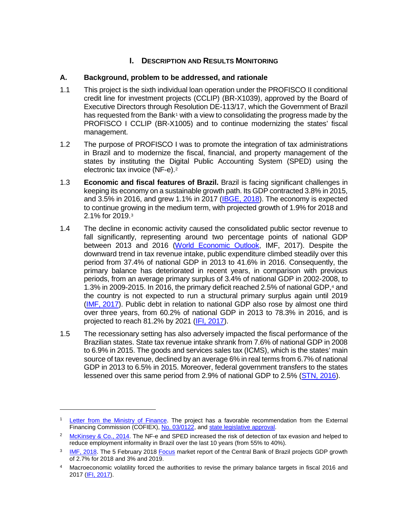# **I. DESCRIPTION AND RESULTS MONITORING**

#### **A. Background, problem to be addressed, and rationale**

- 1.1 This project is the sixth individual loan operation under the PROFISCO II conditional credit line for investment projects (CCLIP) (BR-X1039), approved by the Board of Executive Directors through Resolution DE-113/17, which the Government of Brazil has requested from the Bank<sup>[1](#page-6-0)</sup> with a view to consolidating the progress made by the PROFISCO I CCLIP (BR-X1005) and to continue modernizing the states' fiscal management.
- 1.2 The purpose of PROFISCO I was to promote the integration of tax administrations in Brazil and to modernize the fiscal, financial, and property management of the states by instituting the Digital Public Accounting System (SPED) using the electronic tax invoice (NF-e)[.2](#page-6-1)
- 1.3 **Economic and fiscal features of Brazil.** Brazil is facing significant challenges in keeping its economy on a sustainable growth path. Its GDP contracted 3.8% in 2015, and  $3.5\%$  in 2016, and grew 1.1% in 2017 [\(IBGE, 2018\)](http://www.ibge.gov.br/home/estatistica/indicadores/pib/defaultcnt.shtm). The economy is expected to continue growing in the medium term, with projected growth of 1.9% for 2018 and 2.1% for 2019.[3](#page-6-2)
- 1.4 The decline in economic activity caused the consolidated public sector revenue to fall significantly, representing around two percentage points of national GDP between 2013 and 2016 [\(World Economic Outlook,](https://www.imf.org/external/pubs/ft/weo/2017/01/weodata/index.aspx) IMF, 2017). Despite the downward trend in tax revenue intake, public expenditure climbed steadily over this period from 37.4% of national GDP in 2013 to 41.6% in 2016. Consequently, the primary balance has deteriorated in recent years, in comparison with previous periods, from an average primary surplus of 3.4% of national GDP in 2002-2008, to 1.3% in 2009-2015. In 2016, the primary deficit reached 2.5% of national GDP,[4](#page-6-3) and the country is not expected to run a structural primary surplus again until 2019 (IMF, [2017\)](https://www.imf.org/external/pubs/ft/weo/2017/01/weodata/index.aspx). Public debt in relation to national GDP also rose by almost one third over three years, from 60.2% of national GDP in 2013 to 78.3% in 2016, and is projected to reach 81.2% by 2021 [\(IFI, 2017\)](http://www2.senado.leg.br/bdsf/bitstream/handle/id/529484/RAF_fev17_completo.pdf?sequence=1).
- 1.5 The recessionary setting has also adversely impacted the fiscal performance of the Brazilian states. State tax revenue intake shrank from 7.6% of national GDP in 2008 to 6.9% in 2015. The goods and services sales tax (ICMS), which is the states' main source of tax revenue, declined by an average 6% in real terms from 6.7% of national GDP in 2013 to 6.5% in 2015. Moreover, federal government transfers to the states lessened over this same period from 2.9% of national GDP to 2.5% [\(STN, 2016\)](http://www.tesouro.fazenda.gov.br/documents/10180/318974/Boletim+Vers%C3%A3o+31+10.pdf/a89a75b0-6d07-4f4e-ad56-35cd6be5c0ea).

<span id="page-6-0"></span><sup>&</sup>lt;sup>1</sup> [Letter from the Ministry of Finance.](https://idbg.sharepoint.com/teams/EZ-BR-CON/BR-X1039/_layouts/15/DocIdRedir.aspx?ID=EZSHARE-1935926188-12) The project has a favorable recommendation from the External Financing Commission (COFIEX), [No. 03/0122,](http://idbdocs.iadb.org/wsdocs/getDocument.aspx?DOCNUM=EZSHARE-136685644-3) and [state legislative approval.](https://idbg.sharepoint.com/teams/EZ-BR-LON/BR-L1501/_layouts/15/DocIdRedir.aspx?ID=EZSHARE-108688034-38)

<span id="page-6-1"></span><sup>&</sup>lt;sup>2</sup> [McKinsey & Co., 2014.](http://www.idv.org.br/docs/Diagnostico-da-informalidade_2014_resumo-livro-IDV-vfinal.pdf) The NF-e and SPED increased the risk of detection of tax evasion and helped to reduce employment informality in Brazil over the last 10 years (from 55% to 40%).

<span id="page-6-2"></span><sup>&</sup>lt;sup>3</sup> [IMF, 2018.](http://www.imf.org/en/Publications/WEO/Issues/2018/01/11/world-economic-outlook-update-january-2018) The 5 February 2018 [Focus](https://www.bcb.gov.br/pec/GCI/PORT/readout/R20180202.pdf) market report of the Central Bank of Brazil projects GDP growth of 2.7% for 2018 and 3% and 2019.

<span id="page-6-3"></span><sup>4</sup> Macroeconomic volatility forced the authorities to revise the primary balance targets in fiscal 2016 and 2017 [\(IFI, 2017\)](http://www2.senado.leg.br/bdsf/bitstream/handle/id/529485/RAF_mar17_apresentacao.pdf?sequence=6).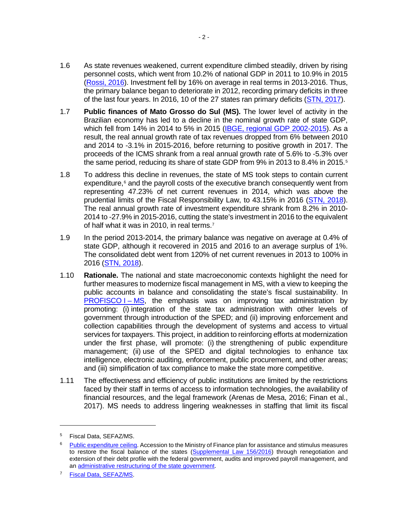- 1.6 As state revenues weakened, current expenditure climbed steadily, driven by rising personnel costs, which went from 10.2% of national GDP in 2011 to 10.9% in 2015 [\(Rossi, 2016\)](https://idbg.sharepoint.com/teams/EZ-BR-LON/BR-L1502/_layouts/15/DocIdRedir.aspx?ID=EZSHARE-796691-8). Investment fell by 16% on average in real terms in 2013-2016. Thus, the primary balance began to deteriorate in 2012, recording primary deficits in three of the last four years. In 2016, 10 of the 27 states ran primary deficits [\(STN, 2017\)](http://www.tesouro.fazenda.gov.br/documents/10180/0/Boletim+de+Finan%C3%A7as+dos+Entes_8set17/6ad83181-517a-4e31-bbe7-2305fff4949a).
- 1.7 **Public finances of Mato Grosso do Sul (MS).** The lower level of activity in the Brazilian economy has led to a decline in the nominal growth rate of state GDP, which fell from 14% in 2014 to 5% in 2015 [\(IBGE, regional GDP 2002-2015\)](https://sidra.ibge.gov.br/pesquisa/pib-munic/tabelas). As a result, the real annual growth rate of tax revenues dropped from 6% between 2010 and 2014 to -3.1% in 2015-2016, before returning to positive growth in 2017. The proceeds of the ICMS shrank from a real annual growth rate of 5.6% to -5.3% over the same period, reducing its share of state GDP from 9% in 2013 to 8.4% in 201[5](#page-7-0).<sup>5</sup>
- 1.8 To address this decline in revenues, the state of MS took steps to contain current expenditure,<sup>[6](#page-7-1)</sup> and the payroll costs of the executive branch consequently went from representing 47.23% of net current revenues in 2014, which was above the prudential limits of the Fiscal Responsibility Law, to 43.15% in 2016 [\(STN, 2018\)](https://siconfi.tesouro.gov.br/siconfi/pages/public/declaracao/declaracao_list.jsf;jsessionid=DPL0aXY9D5jLzkMhCBXpGLUU.node4). The real annual growth rate of investment expenditure shrank from 8.2% in 2010- 2014 to -27.9% in 2015-2016, cutting the state's investment in 2016 to the equivalent of half what it was in 2010, in real terms[.7](#page-7-2)
- 1.9 In the period 2013-2014, the primary balance was negative on average at 0.4% of state GDP, although it recovered in 2015 and 2016 to an average surplus of 1%. The consolidated debt went from 120% of net current revenues in 2013 to 100% in 2016 [\(STN, 2018\)](https://siconfi.tesouro.gov.br/siconfi/pages/public/declaracao/declaracao_list.jsf;jsessionid=DPL0aXY9D5jLzkMhCBXpGLUU.node4).
- 1.10 **Rationale.** The national and state macroeconomic contexts highlight the need for further measures to modernize fiscal management in MS, with a view to keeping the public accounts in balance and consolidating the state's fiscal sustainability. In [PROFISCO](http://idbdocs.iadb.org/wsdocs/getDocument.aspx?DOCNUM=EZSHARE-1921123612-4) I – MS, the emphasis was on improving tax administration by promoting: (i) integration of the state tax administration with other levels of government through introduction of the SPED; and (ii) improving enforcement and collection capabilities through the development of systems and access to virtual services for taxpayers. This project, in addition to reinforcing efforts at modernization under the first phase, will promote: (i) the strengthening of public expenditure management; (ii) use of the SPED and digital technologies to enhance tax intelligence, electronic auditing, enforcement, public procurement, and other areas; and (iii) simplification of tax compliance to make the state more competitive.
- 1.11 The effectiveness and efficiency of public institutions are limited by the restrictions faced by their staff in terms of access to information technologies, the availability of financial resources, and the legal framework (Arenas de Mesa, 2016; Finan et al., 2017). MS needs to address lingering weaknesses in staffing that limit its fiscal

<span id="page-7-0"></span><sup>5</sup> Fiscal Data, SEFAZ/MS.

<span id="page-7-1"></span><sup>&</sup>lt;sup>6</sup> [Public expenditure ceiling.](http://www.spdo.ms.gov.br/diariodoe/Index/Download/DO9392_19_04_2017) Accession to the Ministry of Finance plan for assistance and stimulus measures to restore the fiscal balance of the states [\(Supplemental Law 156/2016\)](http://www.planalto.gov.br/ccivil_03/Leis/LCP/Lcp156.htm) through renegotiation and extension of their debt profile with the federal government, audits and improved payroll management, and an [administrative restructuring of the state government.](http://www.spdo.ms.gov.br/diariodoe/Index/Download/DO8828_26_12_2014)

<span id="page-7-2"></span><sup>7</sup> [Fiscal Data, SEFAZ/MS.](https://idbg.sharepoint.com/:x:/r/teams/EZ-BR-LON/BR-L1511/_layouts/15/WopiFrame.aspx?sourcedoc=%7b37f5f7dd-7232-4bd3-861c-6b5cbb1bdcf9%7d&action=default)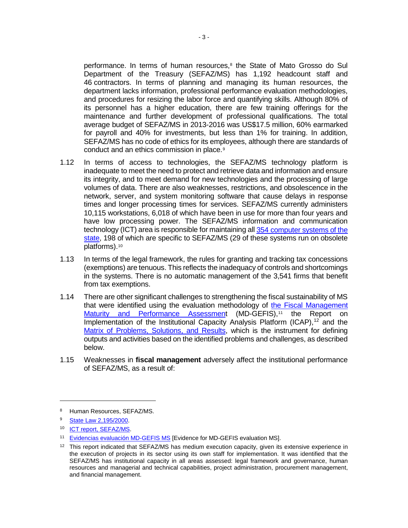performance. In terms of human resources,<sup>8</sup> the State of Mato Grosso do Sul Department of the Treasury (SEFAZ/MS) has 1,192 headcount staff and 46 contractors. In terms of planning and managing its human resources, the department lacks information, professional performance evaluation methodologies, and procedures for resizing the labor force and quantifying skills. Although 80% of its personnel has a higher education, there are few training offerings for the maintenance and further development of professional qualifications. The total average budget of SEFAZ/MS in 2013-2016 was US\$17.5 million, 60% earmarked for payroll and 40% for investments, but less than 1% for training. In addition, SEFAZ/MS has no code of ethics for its employees, although there are standards of conduct and an ethics commission in place.[9](#page-8-1)

- 1.12 In terms of access to technologies, the SEFAZ/MS technology platform is inadequate to meet the need to protect and retrieve data and information and ensure its integrity, and to meet demand for new technologies and the processing of large volumes of data. There are also weaknesses, restrictions, and obsolescence in the network, server, and system monitoring software that cause delays in response times and longer processing times for services. SEFAZ/MS currently administers 10,115 workstations, 6,018 of which have been in use for more than four years and have low processing power. The SEFAZ/MS information and communication technology (ICT) area is responsible for maintaining all 354 [computer systems of the](https://idbg.sharepoint.com/teams/EZ-BR-LON/BR-L1511/_layouts/15/DocIdRedir.aspx?ID=EZSHARE-136685644-23)  [state,](https://idbg.sharepoint.com/teams/EZ-BR-LON/BR-L1511/_layouts/15/DocIdRedir.aspx?ID=EZSHARE-136685644-23) 198 of which are specific to SEFAZ/MS (29 of these systems run on obsolete platforms)[.10](#page-8-2)
- 1.13 In terms of the legal framework, the rules for granting and tracking tax concessions (exemptions) are tenuous. This reflects the inadequacy of controls and shortcomings in the systems. There is no automatic management of the 3,541 firms that benefit from tax exemptions.
- 1.14 There are other significant challenges to strengthening the fiscal sustainability of MS that were identified using the evaluation methodology of [the Fiscal Management](https://idbg.sharepoint.com/teams/EZ-BR-LON/BR-L1511/_layouts/15/DocIdRedir.aspx?ID=EZSHARE-745577444-7)  [Maturity and Performance Assessment](https://idbg.sharepoint.com/teams/EZ-BR-LON/BR-L1511/_layouts/15/DocIdRedir.aspx?ID=EZSHARE-745577444-7) (MD-GEFIS),<sup>[11](#page-8-3)</sup> the Report on Implementation of the Institutional Capacity Analysis Platform (ICAP), [12](#page-8-4) and the [Matrix of Problems, Solutions,](https://idbg.sharepoint.com/teams/EZ-BR-LON/BR-L1511/_layouts/15/DocIdRedir.aspx?ID=EZSHARE-745577444-6) and Results, which is the instrument for defining outputs and activities based on the identified problems and challenges, as described below.
- 1.15 Weaknesses in **fiscal management** adversely affect the institutional performance of SEFAZ/MS, as a result of:

<span id="page-8-0"></span><sup>8</sup> Human Resources, SEFAZ/MS.

<span id="page-8-1"></span><sup>9</sup> [State Law 2,195/2000.](http://aacpdappls.net.ms.gov.br/appls/legislacao/secoge/govato.nsf/1b758e65922af3e904256b220050342a/d87bd92ee23cea0c04256bfa007e8aa6?OpenDocument&Highlight=2,etica)

<span id="page-8-2"></span><sup>10</sup> **[ICT report, SEFAZ/MS.](https://idbg.sharepoint.com/teams/EZ-BR-LON/BR-L1511/_layouts/15/DocIdRedir.aspx?ID=EZSHARE-911096986-38)** 

<span id="page-8-3"></span><sup>&</sup>lt;sup>11</sup> [Evidencias evaluación MD-GEFIS MS](https://idbg.sharepoint.com/teams/EZ-BR-LON/BR-L1511/_layouts/15/DocIdRedir.aspx?ID=EZSHARE-911096986-45) [Evidence for MD-GEFIS evaluation MS].

<span id="page-8-4"></span> $12$  This report indicated that SEFAZ/MS has medium execution capacity, given its extensive experience in the execution of projects in its sector using its own staff for implementation. It was identified that the SEFAZ/MS has institutional capacity in all areas assessed: legal framework and governance, human resources and managerial and technical capabilities, project administration, procurement management, and financial management.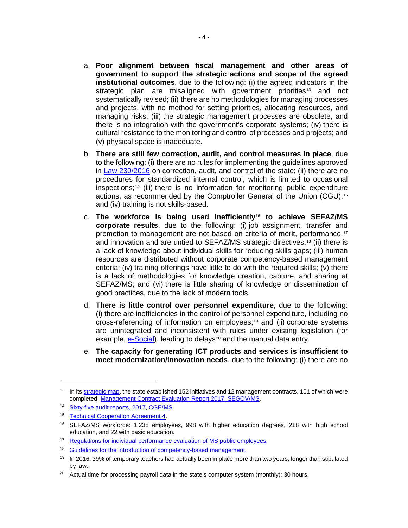- a. **Poor alignment between fiscal management and other areas of government to support the strategic actions and scope of the agreed institutional outcomes**, due to the following: (i) the agreed indicators in the strategic plan are misaligned with government priorities<sup>[13](#page-9-0)</sup> and not systematically revised; (ii) there are no methodologies for managing processes and projects, with no method for setting priorities, allocating resources, and managing risks; (iii) the strategic management processes are obsolete, and there is no integration with the government's corporate systems; (iv) there is cultural resistance to the monitoring and control of processes and projects; and (v) physical space is inadequate.
- b. **There are still few correction, audit, and control measures in place**, due to the following: (i) there are no rules for implementing the guidelines approved in [Law 230/2016](http://www.spdo.ms.gov.br/diariodoe/Index/Download/DO9304_12_12_2016) on correction, audit, and control of the state; (ii) there are no procedures for standardized internal control, which is limited to occasional inspections;[14](#page-9-1) (iii) there is no information for monitoring public expenditure actions, as recommended by the Comptroller General of the Union (CGU);[15](#page-9-2) and (iv) training is not skills-based.
- c. **The workforce is being used inefficiently**[16](#page-9-3) **to achieve SEFAZ/MS corporate results**, due to the following: (i) job assignment, transfer and promotion to management are not based on criteria of merit, performance,<sup>[17](#page-9-4)</sup> and innovation and are untied to SEFAZ/MS strategic directives;[18](#page-9-5) (ii) there is a lack of knowledge about individual skills for reducing skills gaps; (iii) human resources are distributed without corporate competency-based management criteria; (iv) training offerings have little to do with the required skills; (v) there is a lack of methodologies for knowledge creation, capture, and sharing at SEFAZ/MS; and (vi) there is little sharing of knowledge or dissemination of good practices, due to the lack of modern tools.
- d. **There is little control over personnel expenditure**, due to the following: (i) there are inefficiencies in the control of personnel expenditure, including no cross-referencing of information on employees;<sup>[19](#page-9-6)</sup> and (ii) corporate systems are unintegrated and inconsistent with rules under existing legislation (for example, [e-Social\)](https://idbg.sharepoint.com/teams/EZ-BR-LON/BR-L1511/_layouts/15/DocIdRedir.aspx?ID=EZSHARE-136685644-26), leading to delays<sup>[20](#page-9-7)</sup> and the manual data entry.
- e. **The capacity for generating ICT products and services is insufficient to meet modernization/innovation needs**, due to the following: (i) there are no

<span id="page-9-0"></span><sup>&</sup>lt;sup>13</sup> In its **strategic map**, the state established 152 initiatives and 12 management contracts, 101 of which were completed: [Management Contract Evaluation Report 2017, SEGOV/MS.](http://www.segov.ms.gov.br/avaliacao-dos-contratos-de-gestao-2017/)

<span id="page-9-1"></span><sup>14</sup> [Sixty-five audit reports, 2017, CGE/MS.](https://idbg.sharepoint.com/teams/EZ-BR-LON/BR-L1511/_layouts/15/DocIdRedir.aspx?ID=EZSHARE-136685644-28)

<span id="page-9-2"></span><sup>&</sup>lt;sup>15</sup> [Technical Cooperation Agreement 4.](https://idbg.sharepoint.com/teams/EZ-BR-LON/BR-L1511/05%20Basic%20Data/Acordo%20de%20Coopera%C3%A7%C3%A3o%20T%C3%A9cnica%20CGU.pdf)

<span id="page-9-3"></span><sup>16</sup> SEFAZ/MS workforce: 1,238 employees, 998 with higher education degrees, 218 with high school education, and 22 with basic education.

<span id="page-9-4"></span><sup>&</sup>lt;sup>17</sup> [Regulations for individual performance evaluation of MS public employees.](http://www.spdo.ms.gov.br/diariodoe/Index/Download/DO9392_19_04_2017)

<span id="page-9-5"></span><sup>&</sup>lt;sup>18</sup> [Guidelines for the introduction of competency-based management.](http://www.gestaoporcompetencia.ms.gov.br/gestao-por-competencia/)

<span id="page-9-6"></span><sup>&</sup>lt;sup>19</sup> In 2016, 39% of temporary teachers had actually been in place more than two years, longer than stipulated by law.

<span id="page-9-7"></span> $20$  Actual time for processing payroll data in the state's computer system (monthly): 30 hours.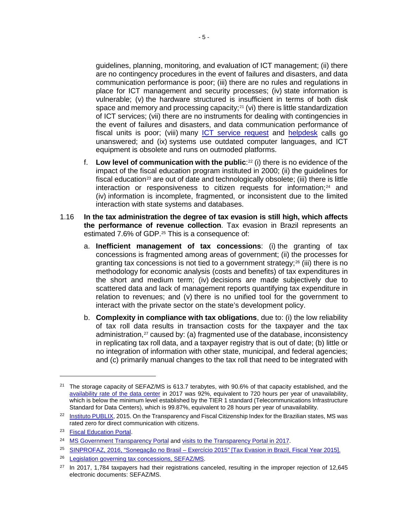guidelines, planning, monitoring, and evaluation of ICT management; (ii) there are no contingency procedures in the event of failures and disasters, and data communication performance is poor; (iii) there are no rules and regulations in place for ICT management and security processes; (iv) state information is vulnerable; (v) the hardware structured is insufficient in terms of both disk space and memory and processing capacity;<sup>[21](#page-10-0)</sup> (vi) there is little standardization of ICT services; (vii) there are no instruments for dealing with contingencies in the event of failures and disasters, and data communication performance of fiscal units is poor; (viii) many [ICT service](https://idbg.sharepoint.com/teams/EZ-BR-LON/BR-L1511/_layouts/15/DocIdRedir.aspx?ID=EZSHARE-136685644-19) request and [helpdesk](https://idbg.sharepoint.com/teams/EZ-BR-LON/BR-L1511/_layouts/15/DocIdRedir.aspx?ID=EZSHARE-136685644-18) calls go unanswered; and (ix) systems use outdated computer languages, and ICT equipment is obsolete and runs on outmoded platforms.

- f. **Low level of communication with the public**:[22](#page-10-1) (i) there is no evidence of the impact of the fiscal education program instituted in 2000; (ii) the guidelines for fiscal education<sup>[23](#page-10-2)</sup> are out of date and technologically obsolete; (iii) there is little interaction or responsiveness to citizen requests for information;<sup>[24](#page-10-3)</sup> and (iv) information is incomplete, fragmented, or inconsistent due to the limited interaction with state systems and databases.
- 1.16 **In the tax administration the degree of tax evasion is still high, which affects the performance of revenue collection**. Tax evasion in Brazil represents an estimated 7.6% of GDP.<sup>25</sup> This is a consequence of:
	- a. **Inefficient management of tax concessions**: (i) the granting of tax concessions is fragmented among areas of government; (ii) the processes for granting tax concessions is not tied to a government strategy;<sup>[26](#page-10-5)</sup> (iii) there is no methodology for economic analysis (costs and benefits) of tax expenditures in the short and medium term; (iv) decisions are made subjectively due to scattered data and lack of management reports quantifying tax expenditure in relation to revenues; and (v) there is no unified tool for the government to interact with the private sector on the state's development policy.
	- b. **Complexity in compliance with tax obligations**, due to: (i) the low reliability of tax roll data results in transaction costs for the taxpayer and the tax administration,<sup>[27](#page-10-6)</sup> caused by: (a) fragmented use of the database, inconsistency in replicating tax roll data, and a taxpayer registry that is out of date; (b) little or no integration of information with other state, municipal, and federal agencies; and (c) primarily manual changes to the tax roll that need to be integrated with

<span id="page-10-0"></span><sup>&</sup>lt;sup>21</sup> The storage capacity of SEFAZ/MS is 613.7 terabytes, with 90.6% of that capacity established, and the [availability rate of the data center](https://idbg.sharepoint.com/teams/EZ-BR-LON/BR-L1511/_layouts/15/DocIdRedir.aspx?ID=EZSHARE-136685644-22) in 2017 was 92%, equivalent to 720 hours per year of unavailability, which is below the minimum level established by the TIER 1 standard (Telecommunications Infrastructure Standard for Data Centers), which is 99.87%, equivalent to 28 hours per year of unavailability.

<span id="page-10-1"></span><sup>&</sup>lt;sup>22</sup> [Instituto PUBLIX,](https://idbg.sharepoint.com/teams/EZ-BR-LON/BR-L1511/_layouts/15/DocIdRedir.aspx?ID=EZSHARE-136685644-15) 2015. On the Transparency and Fiscal Citizenship Index for the Brazilian states, MS was rated zero for direct communication with citizens.

<span id="page-10-2"></span><sup>&</sup>lt;sup>23</sup> [Fiscal Education Portal.](http://www.educacaofiscal.ms.gov.br/)

<span id="page-10-3"></span><sup>&</sup>lt;sup>24</sup> [MS Government Transparency Portal](http://www.transparencia.ms.gov.br/) an[d visits to the Transparency Portal in 2017.](https://idbg.sharepoint.com/teams/EZ-BR-LON/BR-L1511/_layouts/15/DocIdRedir.aspx?ID=EZSHARE-136685644-12))

<span id="page-10-4"></span><sup>25</sup> SINPROFAZ, 2016, "Sonegação no Brasil – [Exercício 2015" \[Tax Evasion in Brazil, Fiscal Year 2015\].](http://www.quantocustaobrasil.com.br/artigos-pdf/sinprofaz_indicador_sonegacao-28-06-2016.pdf)

<span id="page-10-5"></span><sup>26</sup> Legislation governing tax concessions, SEFAZ/MS.

<span id="page-10-6"></span> $27$  In 2017, 1,784 taxpayers had their registrations canceled, resulting in the improper rejection of 12,645 electronic documents: SEFAZ/MS.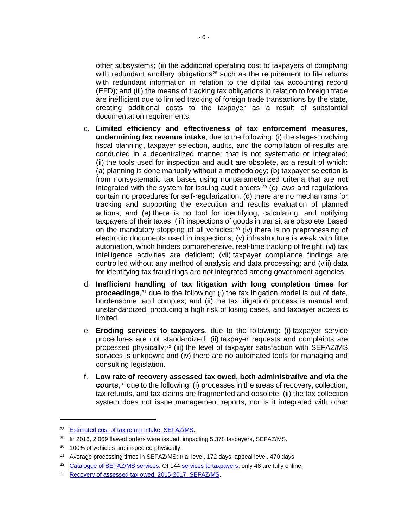other subsystems; (ii) the additional operating cost to taxpayers of complying with redundant ancillary obligations<sup>[28](#page-11-0)</sup> such as the requirement to file returns with redundant information in relation to the digital tax accounting record (EFD); and (iii) the means of tracking tax obligations in relation to foreign trade are inefficient due to limited tracking of foreign trade transactions by the state, creating additional costs to the taxpayer as a result of substantial documentation requirements.

- c. **Limited efficiency and effectiveness of tax enforcement measures, undermining tax revenue intake**, due to the following: (i) the stages involving fiscal planning, taxpayer selection, audits, and the compilation of results are conducted in a decentralized manner that is not systematic or integrated; (ii) the tools used for inspection and audit are obsolete, as a result of which: (a) planning is done manually without a methodology; (b) taxpayer selection is from nonsystematic tax bases using nonparameterized criteria that are not integrated with the system for issuing audit orders;<sup>[29](#page-11-1)</sup> (c) laws and regulations contain no procedures for self-regularization; (d) there are no mechanisms for tracking and supporting the execution and results evaluation of planned actions; and (e) there is no tool for identifying, calculating, and notifying taxpayers of their taxes; (iii) inspections of goods in transit are obsolete, based on the mandatory stopping of all vehicles; $30$  (iv) there is no preprocessing of electronic documents used in inspections; (v) infrastructure is weak with little automation, which hinders comprehensive, real-time tracking of freight; (vi) tax intelligence activities are deficient; (vii) taxpayer compliance findings are controlled without any method of analysis and data processing; and (viii) data for identifying tax fraud rings are not integrated among government agencies.
- d. **Inefficient handling of tax litigation with long completion times for proceedings**,[31](#page-11-3) due to the following: (i) the tax litigation model is out of date, burdensome, and complex; and (ii) the tax litigation process is manual and unstandardized, producing a high risk of losing cases, and taxpayer access is limited.
- e. **Eroding services to taxpayers**, due to the following: (i) taxpayer service procedures are not standardized; (ii) taxpayer requests and complaints are processed physically;<sup>[32](#page-11-4)</sup> (iii) the level of taxpayer satisfaction with SEFAZ/MS services is unknown; and (iv) there are no automated tools for managing and consulting legislation.
- f. **Low rate of recovery assessed tax owed, both administrative and via the courts**,[33](#page-11-5) due to the following: (i) processes in the areas of recovery, collection, tax refunds, and tax claims are fragmented and obsolete; (ii) the tax collection system does not issue management reports, nor is it integrated with other

<span id="page-11-0"></span><sup>28</sup> [Estimated cost of tax return intake, SEFAZ/MS.](https://www.sine.com.br/media-salarial-para-contador)

<span id="page-11-1"></span> $29$  In 2016, 2,069 flawed orders were issued, impacting 5,378 taxpayers, SEFAZ/MS.

<span id="page-11-2"></span><sup>&</sup>lt;sup>30</sup> 100% of vehicles are inspected physically.

<span id="page-11-3"></span> $31$  Average processing times in SEFAZ/MS: trial level, 172 days; appeal level, 470 days.

<span id="page-11-4"></span><sup>&</sup>lt;sup>32</sup> [Catalogue of SEFAZ/MS services.](http://www.catalogo.sefaz.ms.gov.br/) Of 144 [services to taxpayers,](https://idbg.sharepoint.com/teams/EZ-BR-LON/BR-L1511/_layouts/15/DocIdRedir.aspx?ID=EZSHARE-136685644-30) only 48 are fully online.

<span id="page-11-5"></span><sup>33</sup> [Recovery of assessed tax owed, 2015-2017, SEFAZ/MS.](https://idbg.sharepoint.com/teams/EZ-BR-LON/BR-L1511/_layouts/15/DocIdRedir.aspx?ID=EZSHARE-911096986-64)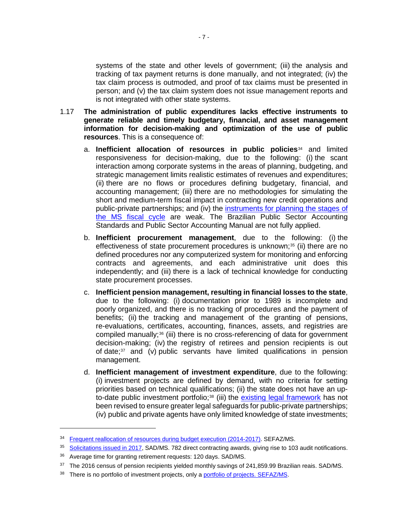systems of the state and other levels of government; (iii) the analysis and tracking of tax payment returns is done manually, and not integrated; (iv) the tax claim process is outmoded, and proof of tax claims must be presented in person; and (v) the tax claim system does not issue management reports and is not integrated with other state systems.

- 1.17 **The administration of public expenditures lacks effective instruments to generate reliable and timely budgetary, financial, and asset management information for decision-making and optimization of the use of public resources**. This is a consequence of:
	- a. **Inefficient allocation of resources in public policies**[34](#page-12-0) and limited responsiveness for decision-making, due to the following: (i) the scant interaction among corporate systems in the areas of planning, budgeting, and strategic management limits realistic estimates of revenues and expenditures; (ii) there are no flows or procedures defining budgetary, financial, and accounting management; (iii) there are no methodologies for simulating the short and medium-term fiscal impact in contracting new credit operations and public-private partnerships; and (iv) the instruments for planning the stages of the MS [fiscal cycle](http://www.transparencia.ms.gov.br/#/Orcamento) are weak. The Brazilian Public Sector Accounting Standards and Public Sector Accounting Manual are not fully applied.
	- b. **Inefficient procurement management**, due to the following: (i) the effectiveness of state procurement procedures is unknown;<sup>[35](#page-12-1)</sup> (ii) there are no defined procedures nor any computerized system for monitoring and enforcing contracts and agreements, and each administrative unit does this independently; and (iii) there is a lack of technical knowledge for conducting state procurement processes.
	- c. **Inefficient pension management, resulting in financial losses to the state**, due to the following: (i) documentation prior to 1989 is incomplete and poorly organized, and there is no tracking of procedures and the payment of benefits; (ii) the tracking and management of the granting of pensions, re-evaluations, certificates, accounting, finances, assets, and registries are compiled manually;<sup>[36](#page-12-2)</sup> (iii) there is no cross-referencing of data for government decision-making; (iv) the registry of retirees and pension recipients is out of date;[37](#page-12-3) and (v) public servants have limited qualifications in pension management.
	- d. **Inefficient management of investment expenditure**, due to the following: (i) investment projects are defined by demand, with no criteria for setting priorities based on technical qualifications; (ii) the state does not have an up-to-date public investment portfolio;<sup>[38](#page-12-4)</sup> (iii) the [existing legal framework](https://idbg.sharepoint.com/:w:/r/teams/EZ-BR-LON/BR-L1511/_layouts/15/WopiFrame.aspx?sourcedoc=%7bde148c09-399d-41e1-8be9-e96e7b027916%7d&action=default) has not been revised to ensure greater legal safeguards for public-private partnerships; (iv) public and private agents have only limited knowledge of state investments;

<span id="page-12-0"></span><sup>34</sup> [Frequent reallocation of resources during budget execution \(2014-2017\).](https://idbg.sharepoint.com/teams/EZ-BR-LON/BR-L1511/_layouts/15/DocIdRedir.aspx?ID=EZSHARE-136685644-11) SEFAZ/MS.

<span id="page-12-1"></span><sup>&</sup>lt;sup>35</sup> [Solicitations issued in 2017,](https://idbg.sharepoint.com/teams/EZ-BR-LON/BR-L1511/_layouts/15/DocIdRedir.aspx?ID=EZSHARE-911096986-44) SAD/MS. 782 direct contracting awards, giving rise to 103 audit notifications.

<sup>36</sup> Average time for granting retirement requests: 120 days. SAD/MS.

<span id="page-12-3"></span><span id="page-12-2"></span><sup>37</sup> The 2016 census of pension recipients yielded monthly savings of 241,859.99 Brazilian reais. SAD/MS.

<span id="page-12-4"></span><sup>&</sup>lt;sup>38</sup> There is no portfolio of investment projects, only [a portfolio of projects. SEFAZ/MS.](https://idbg.sharepoint.com/teams/EZ-BR-LON/BR-L1511/05%20Basic%20Data/Programa%20Estadual%20de%20Parcerias%20Estrat%C3%A9gicas.pdf)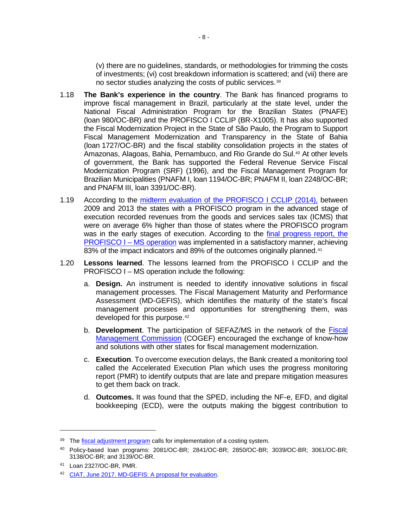(v) there are no guidelines, standards, or methodologies for trimming the costs of investments; (vi) cost breakdown information is scattered; and (vii) there are no sector studies analyzing the costs of public services.[39](#page-13-0)

- 1.18 **The Bank's experience in the country**. The Bank has financed programs to improve fiscal management in Brazil, particularly at the state level, under the National Fiscal Administration Program for the Brazilian States (PNAFE) (loan 980/OC-BR) and the PROFISCO I CCLIP (BR-X1005). It has also supported the Fiscal Modernization Project in the State of São Paulo, the Program to Support Fiscal Management Modernization and Transparency in the State of Bahia (loan 1727/OC-BR) and the fiscal stability consolidation projects in the states of Amazonas, Alagoas, Bahia, Pernambuco, and Rio Grande do Sul.<sup>[40](#page-13-1)</sup> At other levels of government, the Bank has supported the Federal Revenue Service Fiscal Modernization Program (SRF) (1996), and the Fiscal Management Program for Brazilian Municipalities (PNAFM I, loan 1194/OC-BR; PNAFM II, loan 2248/OC-BR; and PNAFM III, loan 3391/OC-BR).
- 1.19 According to the midterm [evaluation of the PROFISCO I](https://idbg.sharepoint.com/teams/EZ-BR-CON/BR-X1039/_layouts/15/DocIdRedir.aspx?ID=EZSHARE-1935926188-4) CCLIP (2014), between 2009 and 2013 the states with a PROFISCO program in the advanced stage of execution recorded revenues from the goods and services sales tax (ICMS) that were on average 6% higher than those of states where the PROFISCO program was in the early stages of execution. According to the [final progress report,](http://idbdocs.iadb.org/wsdocs/getDocument.aspx?DOCNUM=EZSHARE-1921123612-4) the [PROFISCO](http://idbdocs.iadb.org/wsdocs/getDocument.aspx?DOCNUM=EZSHARE-1921123612-4) I – MS operation was implemented in a satisfactory manner, achieving 83% of the impact indicators and 89% of the outcomes originally planned.<sup>[41](#page-13-2)</sup>
- 1.20 **Lessons learned**. The lessons learned from the PROFISCO I CCLIP and the PROFISCO I – MS operation include the following:
	- a. **Design.** An instrument is needed to identify innovative solutions in fiscal management processes. The Fiscal Management Maturity and Performance Assessment (MD-GEFIS), which identifies the maturity of the state's fiscal management processes and opportunities for strengthening them, was developed for this purpose.<sup>[42](#page-13-3)</sup>
	- b. **Development**. The participation of SEFAZ/MS in the network of the [Fiscal](http://www.cogef.ms.gov.br/)  [Management Commission](http://www.cogef.ms.gov.br/) (COGEF) encouraged the exchange of know-how and solutions with other states for fiscal management modernization.
	- c. **Execution**. To overcome execution delays, the Bank created a monitoring tool called the Accelerated Execution Plan which uses the progress monitoring report (PMR) to identify outputs that are late and prepare mitigation measures to get them back on track.
	- d. **Outcomes.** It was found that the SPED, including the NF-e, EFD, and digital bookkeeping (ECD), were the outputs making the biggest contribution to

<span id="page-13-0"></span><sup>&</sup>lt;sup>39</sup> The [fiscal adjustment program](http://www.planalto.gov.br/ccivil_03/Leis/LCP/Lcp101.htm) calls for implementation of a costing system.

<span id="page-13-1"></span><sup>40</sup> Policy-based loan programs: 2081/OC-BR; 2841/OC-BR; 2850/OC-BR; 3039/OC-BR; 3061/OC-BR; 3138/OC-BR; and 3139/OC-BR.

<span id="page-13-2"></span><sup>41</sup> Loan 2327/OC-BR, PMR.

<span id="page-13-3"></span><sup>42</sup> [CIAT, June 2017. MD-GEFIS: A proposal for evaluation.](https://cds.ciat.org/Biblioteca/Revista/Revista_42/Ingles/2017_TR_42_bid_br.pdf)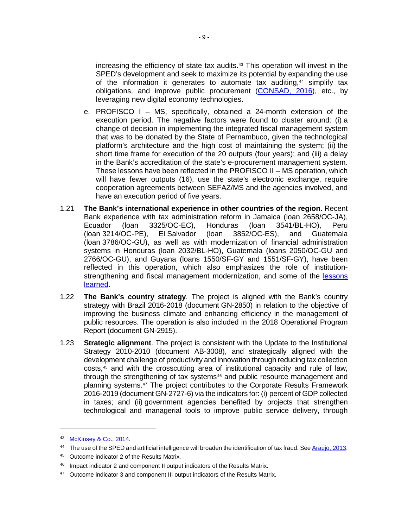increasing the efficiency of state tax audits.[43](#page-14-0) This operation will invest in the SPED's development and seek to maximize its potential by expanding the use of the information it generates to automate tax auditing, $44$  simplify tax obligations, and improve public procurement [\(CONSAD, 2016\)](https://idbg.sharepoint.com/teams/EZ-BR-CON/BR-X1039/_layouts/15/DocIdRedir.aspx?ID=EZSHARE-1935926188-24), etc., by leveraging new digital economy technologies.

- e. PROFISCO I MS, specifically, obtained a 24-month extension of the execution period. The negative factors were found to cluster around: (i) a change of decision in implementing the integrated fiscal management system that was to be donated by the State of Pernambuco, given the technological platform's architecture and the high cost of maintaining the system; (ii) the short time frame for execution of the 20 outputs (four years); and (iii) a delay in the Bank's accreditation of the state's e-procurement management system. These lessons have been reflected in the PROFISCO II – MS operation, which will have fewer outputs (16), use the state's electronic exchange, require cooperation agreements between SEFAZ/MS and the agencies involved, and have an execution period of five years.
- 1.21 **The Bank's international experience in other countries of the region**. Recent Bank experience with tax administration reform in Jamaica (loan 2658/OC-JA), Ecuador (loan 3325/OC-EC), Honduras (loan 3541/BL-HO), Peru (loan 3214/OC-PE), El Salvador (loan 3852/OC-ES), and Guatemala (loan 3786/OC-GU), as well as with modernization of financial administration systems in Honduras (loan 2032/BL-HO), Guatemala (loans 2050/OC-GU and 2766/OC-GU), and Guyana (loans 1550/SF-GY and 1551/SF-GY), have been reflected in this operation, which also emphasizes the role of institutionstrengthening and fiscal management modernization, and some of the [lessons](https://idbg.sharepoint.com/:w:/r/teams/EZ-BR-LON/BR-L1511/_layouts/15/WopiFrame.aspx?sourcedoc=%7bff82963d-6aa8-4ad9-8d1b-ad9122bdf388%7d&action=default)  [learned.](https://idbg.sharepoint.com/:w:/r/teams/EZ-BR-LON/BR-L1511/_layouts/15/WopiFrame.aspx?sourcedoc=%7bff82963d-6aa8-4ad9-8d1b-ad9122bdf388%7d&action=default)
- 1.22 **The Bank's country strategy**. The project is aligned with the Bank's country strategy with Brazil 2016-2018 (document GN-2850) in relation to the objective of improving the business climate and enhancing efficiency in the management of public resources. The operation is also included in the 2018 Operational Program Report (document GN-2915).
- 1.23 **Strategic alignment**. The project is consistent with the Update to the Institutional Strategy 2010-2010 (document AB-3008), and strategically aligned with the development challenge of productivity and innovation through reducing tax collection costs,[45](#page-14-2) and with the crosscutting area of institutional capacity and rule of law, through the strengthening of tax systems<sup>[46](#page-14-3)</sup> and public resource management and planning systems.[47](#page-14-4) The project contributes to the Corporate Results Framework 2016-2019 (document GN-2727-6) via the indicators for: (i) percent of GDP collected in taxes; and (ii) government agencies benefited by projects that strengthen technological and managerial tools to improve public service delivery, through

<span id="page-14-0"></span><sup>43</sup> [McKinsey & Co., 2014.](https://idbg.sharepoint.com/teams/EZ-BR-LON/BR-L1502/_layouts/15/DocIdRedir.aspx?ID=EZSHARE-676725693-8)

<span id="page-14-1"></span><sup>&</sup>lt;sup>44</sup> The use of the SPED and artificial intelligence will broaden the identification of tax fraud. Se[e Araujo,](https://idbg.sharepoint.com/teams/EZ-BR-LON/BR-L1502/_layouts/15/DocIdRedir.aspx?ID=EZSHARE-676725693-10) 2013.

<span id="page-14-2"></span><sup>45</sup> Outcome indicator 2 of the Results Matrix.

<span id="page-14-3"></span><sup>&</sup>lt;sup>46</sup> Impact indicator 2 and component II output indicators of the Results Matrix.

<span id="page-14-4"></span><sup>&</sup>lt;sup>47</sup> Outcome indicator 3 and component III output indicators of the Results Matrix.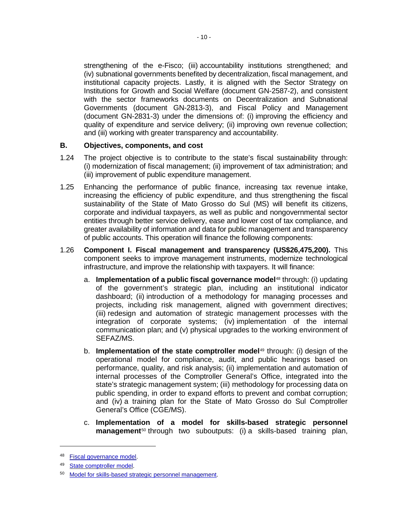strengthening of the e-Fisco; (iii) accountability institutions strengthened; and (iv) subnational governments benefited by decentralization, fiscal management, and institutional capacity projects. Lastly, it is aligned with the Sector Strategy on Institutions for Growth and Social Welfare (document GN-2587-2), and consistent with the sector frameworks documents on Decentralization and Subnational Governments (document GN-2813-3), and Fiscal Policy and Management (document GN-2831-3) under the dimensions of: (i) improving the efficiency and quality of expenditure and service delivery; (ii) improving own revenue collection; and (iii) working with greater transparency and accountability.

#### **B. Objectives, components, and cost**

- 1.24 The project objective is to contribute to the state's fiscal sustainability through: (i) modernization of fiscal management; (ii) improvement of tax administration; and (iii) improvement of public expenditure management.
- 1.25 Enhancing the performance of public finance, increasing tax revenue intake, increasing the efficiency of public expenditure, and thus strengthening the fiscal sustainability of the State of Mato Grosso do Sul (MS) will benefit its citizens, corporate and individual taxpayers, as well as public and nongovernmental sector entities through better service delivery, ease and lower cost of tax compliance, and greater availability of information and data for public management and transparency of public accounts. This operation will finance the following components:
- 1.26 **Component I. Fiscal management and transparency (US\$26,475,200).** This component seeks to improve management instruments, modernize technological infrastructure, and improve the relationship with taxpayers. It will finance:
	- a. **Implementation of a public fiscal governance model**[48](#page-15-0) through: (i) updating of the government's strategic plan, including an institutional indicator dashboard; (ii) introduction of a methodology for managing processes and projects, including risk management, aligned with government directives; (iii) redesign and automation of strategic management processes with the integration of corporate systems; (iv) implementation of the internal communication plan; and (v) physical upgrades to the working environment of SEFAZ/MS.
	- b. **Implementation of the state comptroller model**[49](#page-15-1) through: (i) design of the operational model for compliance, audit, and public hearings based on performance, quality, and risk analysis; (ii) implementation and automation of internal processes of the Comptroller General's Office, integrated into the state's strategic management system; (iii) methodology for processing data on public spending, in order to expand efforts to prevent and combat corruption; and (iv) a training plan for the State of Mato Grosso do Sul Comptroller General's Office (CGE/MS).
	- c. **Implementation of a model for skills-based strategic personnel management**[50](#page-15-2) through two suboutputs: (i) a skills-based training plan,

<span id="page-15-0"></span><sup>48</sup> [Fiscal governance model.](https://idbg.sharepoint.com/teams/EZ-BR-LON/BR-L1501/_layouts/15/DocIdRedir.aspx?ID=EZSHARE-108688034-29)

<span id="page-15-1"></span><sup>49</sup> [State comptroller model.](https://idbg.sharepoint.com/teams/EZ-BR-LON/BR-L1501/_layouts/15/DocIdRedir.aspx?ID=EZSHARE-108688034-30)

<span id="page-15-2"></span><sup>50</sup> [Model for skills-based strategic personnel management.](https://idbg.sharepoint.com/teams/EZ-BR-LON/BR-L1501/_layouts/15/DocIdRedir.aspx?ID=EZSHARE-108688034-28)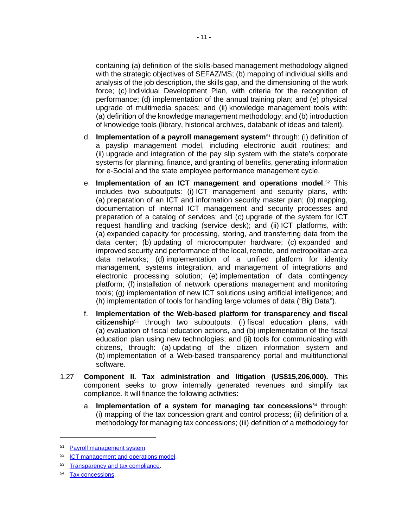containing (a) definition of the skills-based management methodology aligned with the strategic objectives of SEFAZ/MS; (b) mapping of individual skills and analysis of the job description, the skills gap, and the dimensioning of the work force; (c) Individual Development Plan, with criteria for the recognition of performance; (d) implementation of the annual training plan; and (e) physical upgrade of multimedia spaces; and (ii) knowledge management tools with: (a) definition of the knowledge management methodology; and (b) introduction of knowledge tools (library, historical archives, databank of ideas and talent).

- d. **Implementation of a payroll management system**[51](#page-16-0) through: (i) definition of a payslip management model, including electronic audit routines; and (ii) upgrade and integration of the pay slip system with the state's corporate systems for planning, finance, and granting of benefits, generating information for e-Social and the state employee performance management cycle.
- e. **Implementation of an ICT management and operations model**.[52](#page-16-1) This includes two suboutputs: (i) ICT management and security plans, with: (a) preparation of an ICT and information security master plan; (b) mapping, documentation of internal ICT management and security processes and preparation of a catalog of services; and (c) upgrade of the system for ICT request handling and tracking (service desk); and (ii) ICT platforms, with: (a) expanded capacity for processing, storing, and transferring data from the data center; (b) updating of microcomputer hardware; (c) expanded and improved security and performance of the local, remote, and metropolitan-area data networks; (d) implementation of a unified platform for identity management, systems integration, and management of integrations and electronic processing solution; (e) implementation of data contingency platform; (f) installation of network operations management and monitoring tools; (g) implementation of new ICT solutions using artificial intelligence; and (h) implementation of tools for handling large volumes of data ("Big Data").
- f. **Implementation of the Web-based platform for transparency and fiscal citizenship**[53](#page-16-2) through two suboutputs: (i) fiscal education plans, with (a) evaluation of fiscal education actions, and (b) implementation of the fiscal education plan using new technologies; and (ii) tools for communicating with citizens, through: (a) updating of the citizen information system and (b) implementation of a Web-based transparency portal and multifunctional software.
- 1.27 **Component II. Tax administration and litigation (US\$15,206,000).** This component seeks to grow internally generated revenues and simplify tax compliance. It will finance the following activities:
	- a. **Implementation of a system for managing tax concessions**[54](#page-16-3) through: (i) mapping of the tax concession grant and control process; (ii) definition of a methodology for managing tax concessions; (iii) definition of a methodology for

<span id="page-16-0"></span><sup>&</sup>lt;sup>51</sup> [Payroll management system.](https://idbg.sharepoint.com/teams/EZ-BR-LON/BR-L1511/_layouts/15/DocIdRedir.aspx?ID=EZSHARE-911096986-51)

<span id="page-16-1"></span><sup>52</sup> [ICT management and operations model.](https://idbg.sharepoint.com/teams/EZ-BR-LON/BR-L1511/_layouts/15/DocIdRedir.aspx?ID=EZSHARE-911096986-52)

<span id="page-16-2"></span><sup>53</sup> [Transparency and tax compliance.](http://idbdocs.iadb.org/wsdocs/getDocument.aspx?DOCNUM=EZSHARE-566127059-6)

<span id="page-16-3"></span><sup>&</sup>lt;sup>54</sup> [Tax concessions.](https://idbg.sharepoint.com/teams/EZ-BR-LON/BR-L1501/_layouts/15/DocIdRedir.aspx?ID=EZSHARE-108688034-35)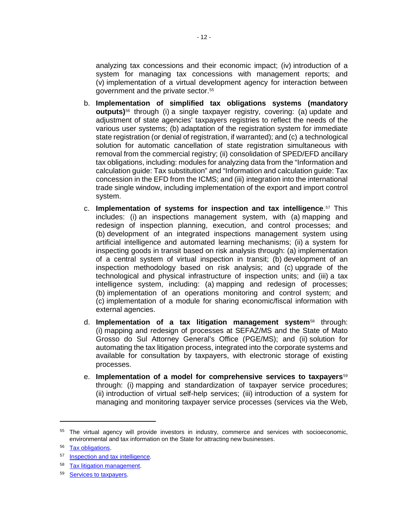analyzing tax concessions and their economic impact; (iv) introduction of a system for managing tax concessions with management reports; and (v) implementation of a virtual development agency for interaction between government and the private sector.[55](#page-17-0)

- b. **Implementation of simplified tax obligations systems (mandatory outputs)**[56](#page-17-1) through (i) a single taxpayer registry, covering: (a) update and adjustment of state agencies' taxpayers registries to reflect the needs of the various user systems; (b) adaptation of the registration system for immediate state registration (or denial of registration, if warranted); and (c) a technological solution for automatic cancellation of state registration simultaneous with removal from the commercial registry; (ii) consolidation of SPED/EFD ancillary tax obligations, including: modules for analyzing data from the "Information and calculation guide: Tax substitution" and "Information and calculation guide: Tax concession in the EFD from the ICMS; and (iii) integration into the international trade single window, including implementation of the export and import control system.
- c. **Implementation of systems for inspection and tax intelligence**.[57](#page-17-2) This includes: (i) an inspections management system, with (a) mapping and redesign of inspection planning, execution, and control processes; and (b) development of an integrated inspections management system using artificial intelligence and automated learning mechanisms; (ii) a system for inspecting goods in transit based on risk analysis through: (a) implementation of a central system of virtual inspection in transit; (b) development of an inspection methodology based on risk analysis; and (c) upgrade of the technological and physical infrastructure of inspection units; and (iii) a tax intelligence system, including: (a) mapping and redesign of processes; (b) implementation of an operations monitoring and control system; and (c) implementation of a module for sharing economic/fiscal information with external agencies.
- d. **Implementation of a tax litigation management system**[58](#page-17-3) through: (i) mapping and redesign of processes at SEFAZ/MS and the State of Mato Grosso do Sul Attorney General's Office (PGE/MS); and (ii) solution for automating the tax litigation process, integrated into the corporate systems and available for consultation by taxpayers, with electronic storage of existing processes.
- e. **Implementation of a model for comprehensive services to taxpayers**[59](#page-17-4) through: (i) mapping and standardization of taxpayer service procedures; (ii) introduction of virtual self-help services; (iii) introduction of a system for managing and monitoring taxpayer service processes (services via the Web,

<span id="page-17-0"></span><sup>&</sup>lt;sup>55</sup> The virtual agency will provide investors in industry, commerce and services with socioeconomic, environmental and tax information on the State for attracting new businesses.

<span id="page-17-1"></span><sup>56</sup> Tax [obligations.](https://idbg.sharepoint.com/teams/EZ-BR-LON/BR-L1501/_layouts/15/DocIdRedir.aspx?ID=EZSHARE-108688034-36)

<span id="page-17-2"></span><sup>&</sup>lt;sup>57</sup> [Inspection and tax intelligence.](https://idbg.sharepoint.com/teams/EZ-BR-LON/BR-L1501/_layouts/15/DocIdRedir.aspx?ID=EZSHARE-108688034-31)

<span id="page-17-3"></span><sup>58</sup> [Tax litigation management.](https://idbg.sharepoint.com/teams/EZ-BR-LON/BR-L1511/_layouts/15/DocIdRedir.aspx?ID=EZSHARE-911096986-63)

<span id="page-17-4"></span><sup>59</sup> [Services to taxpayers.](https://idbg.sharepoint.com/teams/EZ-BR-LON/BR-L1511/_layouts/15/DocIdRedir.aspx?ID=EZSHARE-911096986-54)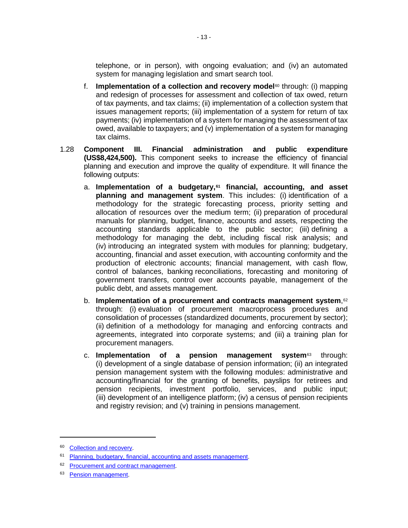telephone, or in person), with ongoing evaluation; and (iv) an automated system for managing legislation and smart search tool.

- f. **Implementation of a collection and recovery model**[60](#page-18-0) through: (i) mapping and redesign of processes for assessment and collection of tax owed, return of tax payments, and tax claims; (ii) implementation of a collection system that issues management reports; (iii) implementation of a system for return of tax payments; (iv) implementation of a system for managing the assessment of tax owed, available to taxpayers; and (v) implementation of a system for managing tax claims.
- 1.28 **Component III. Financial administration and public expenditure (US\$8,424,500).** This component seeks to increase the efficiency of financial planning and execution and improve the quality of expenditure. It will finance the following outputs:
	- a. **Implementation of a budgetary,[61](#page-18-1) financial, accounting, and asset planning and management system**. This includes: (i) identification of a methodology for the strategic forecasting process, priority setting and allocation of resources over the medium term; (ii) preparation of procedural manuals for planning, budget, finance, accounts and assets, respecting the accounting standards applicable to the public sector; (iii) defining a methodology for managing the debt, including fiscal risk analysis; and (iv) introducing an integrated system with modules for planning; budgetary, accounting, financial and asset execution, with accounting conformity and the production of electronic accounts; financial management, with cash flow, control of balances, banking reconciliations, forecasting and monitoring of government transfers, control over accounts payable, management of the public debt, and assets management.
	- b. **Implementation of a procurement and contracts management system, [62](#page-18-2)** through: (i) evaluation of procurement macroprocess procedures and consolidation of processes (standardized documents, procurement by sector); (ii) definition of a methodology for managing and enforcing contracts and agreements, integrated into corporate systems; and (iii) a training plan for procurement managers.
	- c. **Implementation of a pension management system**[63](#page-18-3) through: (i) development of a single database of pension information; (ii) an integrated pension management system with the following modules: administrative and accounting/financial for the granting of benefits, payslips for retirees and pension recipients, investment portfolio, services, and public input; (iii) development of an intelligence platform; (iv) a census of pension recipients and registry revision; and (v) training in pensions management.

<span id="page-18-0"></span><sup>60</sup> [Collection and recovery.](https://idbg.sharepoint.com/teams/EZ-BR-LON/BR-L1501/_layouts/15/DocIdRedir.aspx?ID=EZSHARE-108688034-32)

<span id="page-18-1"></span><sup>&</sup>lt;sup>61</sup> Planning, budgetary, financial, [accounting and assets management.](https://idbg.sharepoint.com/teams/EZ-BR-LON/BR-L1501/_layouts/15/DocIdRedir.aspx?ID=EZSHARE-108688034-33)

<span id="page-18-2"></span><sup>62</sup> [Procurement and contract management.](https://idbg.sharepoint.com/teams/EZ-BR-LON/BR-L1501/_layouts/15/DocIdRedir.aspx?ID=EZSHARE-108688034-34)

<span id="page-18-3"></span><sup>&</sup>lt;sup>63</sup> [Pension management.](http://idbdocs.iadb.org/wsdocs/getDocument.aspx?DOCNUM=EZSHARE-566127059-15)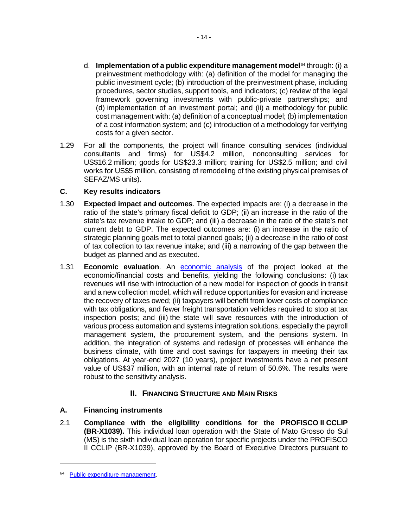- d. **Implementation of a public expenditure management model**[64](#page-19-0) through: (i) a preinvestment methodology with: (a) definition of the model for managing the public investment cycle; (b) introduction of the preinvestment phase, including procedures, sector studies, support tools, and indicators; (c) review of the legal framework governing investments with public-private partnerships; and (d) implementation of an investment portal; and (ii) a methodology for public cost management with: (a) definition of a conceptual model; (b) implementation of a cost information system; and (c) introduction of a methodology for verifying costs for a given sector.
- 1.29 For all the components, the project will finance consulting services (individual consultants and firms) for US\$4.2 million, nonconsulting services for US\$16.2 million; goods for US\$23.3 million; training for US\$2.5 million; and civil works for US\$5 million, consisting of remodeling of the existing physical premises of SEFAZ/MS units).

## **C. Key results indicators**

- 1.30 **Expected impact and outcomes**. The expected impacts are: (i) a decrease in the ratio of the state's primary fiscal deficit to GDP; (ii) an increase in the ratio of the state's tax revenue intake to GDP; and (iii) a decrease in the ratio of the state's net current debt to GDP. The expected outcomes are: (i) an increase in the ratio of strategic planning goals met to total planned goals; (ii) a decrease in the ratio of cost of tax collection to tax revenue intake; and (iii) a narrowing of the gap between the budget as planned and as executed.
- 1.31 **Economic evaluation**. An [economic analysis](https://idbg.sharepoint.com/teams/EZ-BR-LON/BR-L1511/_layouts/15/DocIdRedir.aspx?ID=EZSHARE-745577444-12) of the project looked at the economic/financial costs and benefits, yielding the following conclusions: (i) tax revenues will rise with introduction of a new model for inspection of goods in transit and a new collection model, which will reduce opportunities for evasion and increase the recovery of taxes owed; (ii) taxpayers will benefit from lower costs of compliance with tax obligations, and fewer freight transportation vehicles required to stop at tax inspection posts; and (iii) the state will save resources with the introduction of various process automation and systems integration solutions, especially the payroll management system, the procurement system, and the pensions system. In addition, the integration of systems and redesign of processes will enhance the business climate, with time and cost savings for taxpayers in meeting their tax obligations. At year-end 2027 (10 years), project investments have a net present value of US\$37 million, with an internal rate of return of 50.6%. The results were robust to the sensitivity analysis.

# **II. FINANCING STRUCTURE AND MAIN RISKS**

# **A. Financing instruments**

2.1 **Compliance with the eligibility conditions for the PROFISCO II CCLIP (BR**-**X1039).** This individual loan operation with the State of Mato Grosso do Sul (MS) is the sixth individual loan operation for specific projects under the PROFISCO II CCLIP (BR-X1039), approved by the Board of Executive Directors pursuant to

<span id="page-19-0"></span><sup>64</sup> [Public expenditure management.](https://idbg.sharepoint.com/teams/EZ-BR-LON/BR-L1511/_layouts/15/DocIdRedir.aspx?ID=EZSHARE-911096986-61)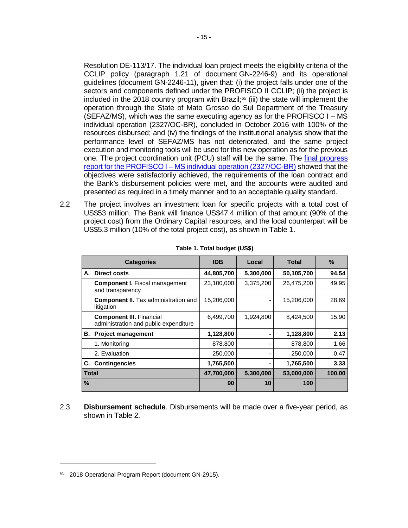Resolution DE-113/17. The individual loan project meets the eligibility criteria of the CCLIP policy (paragraph 1.21 of document GN-2246-9) and its operational guidelines (document GN-2246-11), given that: (i) the project falls under one of the sectors and components defined under the PROFISCO II CCLIP; (ii) the project is included in the 2018 country program with Brazil; $65$  (iii) the state will implement the operation through the State of Mato Grosso do Sul Department of the Treasury (SEFAZ/MS), which was the same executing agency as for the PROFISCO I – MS individual operation (2327/OC-BR), concluded in October 2016 with 100% of the resources disbursed; and (iv) the findings of the institutional analysis show that the performance level of SEFAZ/MS has not deteriorated, and the same project execution and monitoring tools will be used for this new operation as for the previous one. The project coordination unit (PCU) staff will be the same. The final [progress](http://idbdocs.iadb.org/wsdocs/getDocument.aspx?DOCNUM=EZSHARE-1921123612-4)  report for the PROFISCO I – [MS individual operation \(2327/OC-BR\)](http://idbdocs.iadb.org/wsdocs/getDocument.aspx?DOCNUM=EZSHARE-1921123612-4) showed that the objectives were satisfactorily achieved, the requirements of the loan contract and the Bank's disbursement policies were met, and the accounts were audited and presented as required in a timely manner and to an acceptable quality standard.

2.2 The project involves an investment loan for specific projects with a total cost of US\$53 million. The Bank will finance US\$47.4 million of that amount (90% of the project cost) from the Ordinary Capital resources, and the local counterpart will be US\$5.3 million (10% of the total project cost), as shown in Table 1.

|              | <b>Categories</b>                                                        | <b>IDB</b> | Local     | <b>Total</b> | $\frac{0}{0}$ |
|--------------|--------------------------------------------------------------------------|------------|-----------|--------------|---------------|
| А.           | <b>Direct costs</b>                                                      | 44,805,700 | 5,300,000 | 50,105,700   | 94.54         |
|              | <b>Component I.</b> Fiscal management<br>and transparency                | 23,100,000 | 3,375,200 | 26,475,200   | 49.95         |
|              | <b>Component II.</b> Tax administration and<br>litigation                | 15,206,000 |           | 15,206,000   | 28.69         |
|              | <b>Component III. Financial</b><br>administration and public expenditure | 6,499,700  | 1,924,800 | 8,424,500    | 15.90         |
| В.           | <b>Project management</b>                                                | 1,128,800  |           | 1,128,800    | 2.13          |
|              | 1. Monitoring                                                            | 878,800    |           | 878,800      | 1.66          |
|              | 2. Evaluation                                                            | 250,000    |           | 250,000      | 0.47          |
|              | C. Contingencies                                                         | 1,765,500  |           | 1,765,500    | 3.33          |
| <b>Total</b> |                                                                          | 47,700,000 | 5,300,000 | 53,000,000   | 100.00        |
| $\%$         |                                                                          | 90         | 10        | 100          |               |

**Table 1. Total budget (US\$)**

2.3 **Disbursement schedule**. Disbursements will be made over a five-year period, as shown in Table 2.

<span id="page-20-0"></span><sup>&</sup>lt;sup>65</sup> 2018 Operational Program Report (document GN-2915).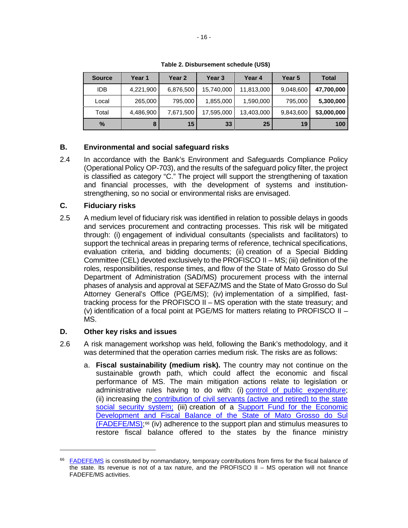| <b>Source</b> | Year 1    | Year 2    | Year 3     | Year 4     | <b>Year 5</b> | <b>Total</b> |
|---------------|-----------|-----------|------------|------------|---------------|--------------|
| <b>IDB</b>    | 4,221,900 | 6,876,500 | 15,740,000 | 11,813,000 | 9,048,600     | 47,700,000   |
| Local         | 265,000   | 795,000   | 1,855,000  | 1,590,000  | 795,000       | 5,300,000    |
| Total         | 4,486,900 | 7,671,500 | 17,595,000 | 13,403,000 | 9,843,600     | 53,000,000   |
| $\%$          | 8         | 15        | 33         | 25         | 19            | 100          |

**Table 2. Disbursement schedule (US\$)**

## **B. Environmental and social safeguard risks**

2.4 In accordance with the Bank's Environment and Safeguards Compliance Policy (Operational Policy OP-703), and the results of the safeguard policy filter, the project is classified as category "C." The project will support the strengthening of taxation and financial processes, with the development of systems and institutionstrengthening, so no social or environmental risks are envisaged.

#### **C. Fiduciary risks**

2.5 A medium level of fiduciary risk was identified in relation to possible delays in goods and services procurement and contracting processes. This risk will be mitigated through: (i) engagement of individual consultants (specialists and facilitators) to support the technical areas in preparing terms of reference, technical specifications, evaluation criteria, and bidding documents; (ii) creation of a Special Bidding Committee (CEL) devoted exclusively to the PROFISCO II – MS; (iii) definition of the roles, responsibilities, response times, and flow of the State of Mato Grosso do Sul Department of Administration (SAD/MS) procurement process with the internal phases of analysis and approval at SEFAZ/MS and the State of Mato Grosso do Sul Attorney General's Office (PGE/MS); (iv) implementation of a simplified, fasttracking process for the PROFISCO II – MS operation with the state treasury; and (v) identification of a focal point at PGE/MS for matters relating to PROFISCO II – MS.

## **D. Other key risks and issues**

- 2.6 A risk management workshop was held, following the Bank's methodology, and it was determined that the operation carries medium risk. The risks are as follows:
	- a. **Fiscal sustainability (medium risk).** The country may not continue on the sustainable growth path, which could affect the economic and fiscal performance of MS. The main mitigation actions relate to legislation or administrative rules having to do with: (i) [control of public expenditure;](http://www.spdo.ms.gov.br/diariodoe/Index/Download/DO9392_19_04_2017) (ii) increasing the [contribution of civil servants \(active and retired\) to the state](http://www.spdo.ms.gov.br/diariodoe/Index/Download/DO9545_04_12_2017)  [social security system;](http://www.spdo.ms.gov.br/diariodoe/Index/Download/DO9545_04_12_2017) (iii) creation of a Support Fund for the Economic [Development and Fiscal Balance of the State](http://www.spdo.ms.gov.br/diariodoe/Index/Download/DO9518_24_10_2017) of Mato Grosso do Sul  $(FADEFE/MS);$ <sup>[66](#page-21-0)</sup> (iv) adherence to the support plan and stimulus measures to restore fiscal balance offered to the states by the finance ministry

<span id="page-21-0"></span><sup>&</sup>lt;sup>66</sup> [FADEFE/MS](https://na01.safelinks.protection.outlook.com/?url=http%3A%2F%2Fconsulta.projleis.al.ms.gov.br%3A8080%2Fsistema_legislativo%2Fanexos%2F4626-17.pdf&data=01%7C01%7CANAPA%40iadb.org%7C6b0ed7e4597a4c26b41608d5b03989ba%7C9dfb1a055f1d449a896062abcb479e7d%7C0&sdata=fqU4aJagVDrxXsUlrm3L4qiWQgjs%2Bm%2FMl7RU7XG%2FRFA%3D&reserved=0) is constituted by nonmandatory, temporary contributions from firms for the fiscal balance of the state. Its revenue is not of a tax nature, and the PROFISCO II – MS operation will not finance FADEFE/MS activities.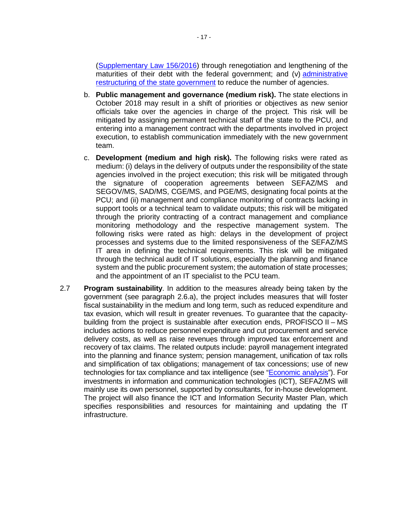[\(Supplementary](http://www.planalto.gov.br/ccivil_03/Leis/LCP/Lcp156.htm) Law 156/2016) through renegotiation and lengthening of the maturities of their debt with the federal government; and (v) administrative [restructuring of the state government](http://www.spdo.ms.gov.br/diariodoe/Index/Download/DO8828_26_12_2014) to reduce the number of agencies.

- b. **Public management and governance (medium risk).** The state elections in October 2018 may result in a shift of priorities or objectives as new senior officials take over the agencies in charge of the project. This risk will be mitigated by assigning permanent technical staff of the state to the PCU, and entering into a management contract with the departments involved in project execution, to establish communication immediately with the new government team.
- c. **Development (medium and high risk).** The following risks were rated as medium: (i) delays in the delivery of outputs under the responsibility of the state agencies involved in the project execution; this risk will be mitigated through the signature of cooperation agreements between SEFAZ/MS and SEGOV/MS, SAD/MS, CGE/MS, and PGE/MS, designating focal points at the PCU; and (ii) management and compliance monitoring of contracts lacking in support tools or a technical team to validate outputs; this risk will be mitigated through the priority contracting of a contract management and compliance monitoring methodology and the respective management system. The following risks were rated as high: delays in the development of project processes and systems due to the limited responsiveness of the SEFAZ/MS IT area in defining the technical requirements. This risk will be mitigated through the technical audit of IT solutions, especially the planning and finance system and the public procurement system; the automation of state processes; and the appointment of an IT specialist to the PCU team.
- 2.7 **Program sustainability**. In addition to the measures already being taken by the government (see paragraph 2.6.a), the project includes measures that will foster fiscal sustainability in the medium and long term, such as reduced expenditure and tax evasion, which will result in greater revenues. To guarantee that the capacitybuilding from the project is sustainable after execution ends, PROFISCO II – MS includes actions to reduce personnel expenditure and cut procurement and service delivery costs, as well as raise revenues through improved tax enforcement and recovery of tax claims. The related outputs include: payroll management integrated into the planning and finance system; pension management, unification of tax rolls and simplification of tax obligations; management of tax concessions; use of new technologies for tax compliance and tax intelligence (see ["Economic analysis"](https://idbg.sharepoint.com/teams/EZ-BR-LON/BR-L1511/_layouts/15/DocIdRedir.aspx?ID=EZSHARE-745577444-12)). For investments in information and communication technologies (ICT), SEFAZ/MS will mainly use its own personnel, supported by consultants, for in-house development. The project will also finance the ICT and Information Security Master Plan, which specifies responsibilities and resources for maintaining and updating the IT infrastructure.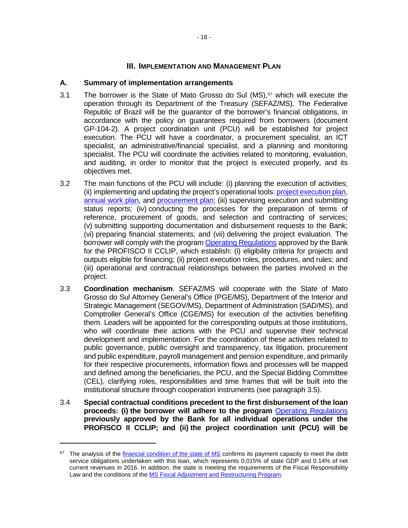## **III. IMPLEMENTATION AND MANAGEMENT PLAN**

#### **A. Summary of implementation arrangements**

- 3.1 The borrower is the State of Mato Grosso do Sul  $(MS)$ ,  $67$  which will execute the operation through its Department of the Treasury (SEFAZ/MS). The Federative Republic of Brazil will be the guarantor of the borrower's financial obligations, in accordance with the policy on guarantees required from borrowers (document GP-104-2). A project coordination unit (PCU) will be established for project execution. The PCU will have a coordinator, a procurement specialist, an ICT specialist, an administrative/financial specialist, and a planning and monitoring specialist. The PCU will coordinate the activities related to monitoring, evaluation, and auditing, in order to monitor that the project is executed properly, and its objectives met.
- 3.2 The main functions of the PCU will include: (i) planning the execution of activities; (ii) implementing and updating the project's operational tools: [project execution plan,](https://idbg.sharepoint.com/teams/EZ-BR-LON/BR-L1511/_layouts/15/DocIdRedir.aspx?ID=EZSHARE-745577444-3) [annual work plan,](https://idbg.sharepoint.com/teams/EZ-BR-LON/BR-L1511/_layouts/15/DocIdRedir.aspx?ID=EZSHARE-745577444-3) and [procurement plan;](https://idbg.sharepoint.com/teams/EZ-BR-LON/BR-L1511/_layouts/15/DocIdRedir.aspx?ID=EZSHARE-745577444-10) (iii) supervising execution and submitting status reports; (iv) conducting the processes for the preparation of terms of reference, procurement of goods, and selection and contracting of services; (v) submitting supporting documentation and disbursement requests to the Bank; (vi) preparing financial statements; and (vii) delivering the project evaluation. The borrower will comply with the program [Operating Regulations](https://idbg.sharepoint.com/teams/EZ-BR-LON/BR-L1500/_layouts/15/DocIdRedir.aspx?ID=EZSHARE-1869036552-23) approved by the Bank for the PROFISCO II CCLIP, which establish: (i) eligibility criteria for projects and outputs eligible for financing; (ii) project execution roles, procedures, and rules; and (iii) operational and contractual relationships between the parties involved in the project.
- 3.3 **Coordination mechanism**. SEFAZ/MS will cooperate with the State of Mato Grosso do Sul Attorney General's Office (PGE/MS), Department of the Interior and Strategic Management (SEGOV/MS), Department of Administration (SAD/MS), and Comptroller General's Office (CGE/MS) for execution of the activities benefiting them. Leaders will be appointed for the corresponding outputs at those institutions, who will coordinate their actions with the PCU and supervise their technical development and implementation. For the coordination of these activities related to public governance, public oversight and transparency, tax litigation, procurement and public expenditure, payroll management and pension expenditure, and primarily for their respective procurements, information flows and processes will be mapped and defined among the beneficiaries, the PCU, and the Special Bidding Committee (CEL), clarifying roles, responsibilities and time frames that will be built into the institutional structure through cooperation instruments (see paragraph 3.5).
- 3.4 **Special contractual conditions precedent to the first disbursement of the loan proceeds: (i) the borrower will adhere to the program** [Operating Regulations](https://idbg.sharepoint.com/teams/EZ-BR-LON/BR-L1500/_layouts/15/DocIdRedir.aspx?ID=EZSHARE-1869036552-23) **previously approved by the Bank for all individual operations under the PROFISCO II CCLIP; and (ii) the project coordination unit (PCU) will be**

<span id="page-23-0"></span><sup>&</sup>lt;sup>67</sup> The analysis of the [financial condition of the state of MS](https://idbg.sharepoint.com/:w:/r/teams/EZ-BR-LON/BR-L1511/_layouts/15/Doc.aspx?sourcedoc=%7BE8B8164C-F077-4789-86A5-C5E4F2155F1B%7D&file=BR-L1511.%20Nota%20t%C3%A9cnica%20-%20Capacidade%20de%20Pagamento%20MS.docx&action=default&mobileredirect=true) confirms its payment capacity to meet the debt service obligations undertaken with this loan, which represents 0.015% of state GDP and 0.14% of net current revenues in 2016. In addition, the state is meeting the requirements of the Fiscal Responsibility Law and the conditions of the [MS Fiscal Adjustment and Restructuring Program.](https://idbg.sharepoint.com/teams/EZ-BR-LON/BR-L1511/15%20LifeCycle%20Milestones/BR-L1511-%20PAF%20MS.pdf)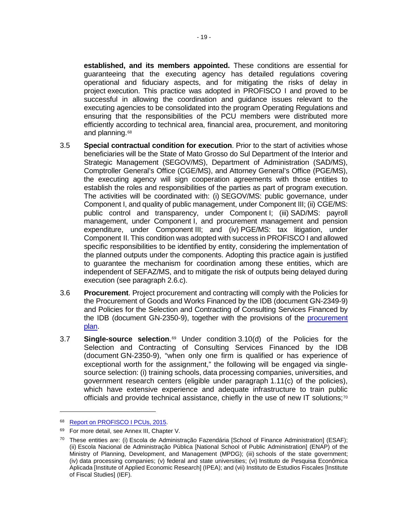**established, and its members appointed.** These conditions are essential for guaranteeing that the executing agency has detailed regulations covering operational and fiduciary aspects, and for mitigating the risks of delay in project execution. This practice was adopted in PROFISCO I and proved to be successful in allowing the coordination and guidance issues relevant to the executing agencies to be consolidated into the program Operating Regulations and ensuring that the responsibilities of the PCU members were distributed more efficiently according to technical area, financial area, procurement, and monitoring and planning.<sup>[68](#page-24-0)</sup>

- 3.5 **Special contractual condition for execution**. Prior to the start of activities whose beneficiaries will be the State of Mato Grosso do Sul Department of the Interior and Strategic Management (SEGOV/MS), Department of Administration (SAD/MS), Comptroller General's Office (CGE/MS), and Attorney General's Office (PGE/MS), the executing agency will sign cooperation agreements with those entities to establish the roles and responsibilities of the parties as part of program execution. The activities will be coordinated with: (i) SEGOV/MS: public governance, under Component I, and quality of public management, under Component III; (ii) CGE/MS: public control and transparency, under Component I; (iii) SAD/MS: payroll management, under Component I, and procurement management and pension expenditure, under Component III; and (iv) PGE/MS: tax litigation, under Component II. This condition was adopted with success in PROFISCO I and allowed specific responsibilities to be identified by entity, considering the implementation of the planned outputs under the components. Adopting this practice again is justified to guarantee the mechanism for coordination among these entities, which are independent of SEFAZ/MS, and to mitigate the risk of outputs being delayed during execution (see paragraph 2.6.c).
- 3.6 **Procurement**. Project procurement and contracting will comply with the Policies for the Procurement of Goods and Works Financed by the IDB (document GN-2349-9) and Policies for the Selection and Contracting of Consulting Services Financed by the IDB (document GN-2350-9), together with the provisions of the [procurement](https://idbg.sharepoint.com/teams/EZ-BR-LON/BR-L1511/_layouts/15/DocIdRedir.aspx?ID=EZSHARE-745577444-10)  [plan.](https://idbg.sharepoint.com/teams/EZ-BR-LON/BR-L1511/_layouts/15/DocIdRedir.aspx?ID=EZSHARE-745577444-10)
- 3.7 **Single-source selection**.[69](#page-24-1) Under condition 3.10(d) of the Policies for the Selection and Contracting of Consulting Services Financed by the IDB (document GN-2350-9), "when only one firm is qualified or has experience of exceptional worth for the assignment," the following will be engaged via singlesource selection: (i) training schools, data processing companies, universities, and government research centers (eligible under paragraph 1.11(c) of the policies), which have extensive experience and adequate infrastructure to train public officials and provide technical assistance, chiefly in the use of new IT solutions;<sup>[70](#page-24-2)</sup>

<span id="page-24-0"></span><sup>68</sup> [Report on PROFISCO I PCUs, 2015.](https://idbg.sharepoint.com/_layouts/15/DocIdRedir.aspx?ID=EZSHARE-673533251-3)

<span id="page-24-1"></span><sup>69</sup> For more detail, see Annex III, Chapter V.

<span id="page-24-2"></span><sup>70</sup> These entities are: (i) Escola de Administração Fazendária [School of Finance Administration] (ESAF); (ii) Escola Nacional de Administração Pública [National School of Public Administration] (ENAP) of the Ministry of Planning, Development, and Management (MPDG); (iii) schools of the state government; (iv) data processing companies; (v) federal and state universities; (vi) Instituto de Pesquisa Econômica Aplicada [Institute of Applied Economic Research] (IPEA); and (vii) Instituto de Estudios Fiscales [Institute of Fiscal Studies] (IEF).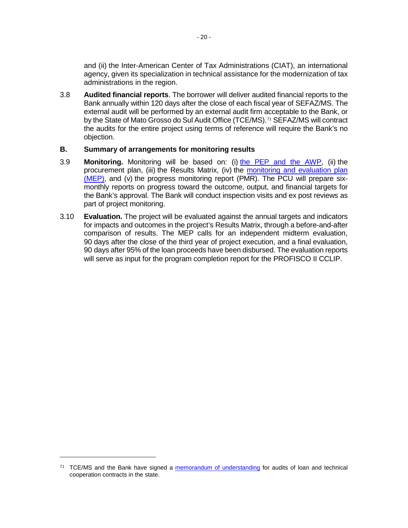and (ii) the Inter-American Center of Tax Administrations (CIAT), an international agency, given its specialization in technical assistance for the modernization of tax administrations in the region.

3.8 **Audited financial reports**. The borrower will deliver audited financial reports to the Bank annually within 120 days after the close of each fiscal year of SEFAZ/MS. The external audit will be performed by an external audit firm acceptable to the Bank, or by the State of Mato Grosso do Sul Audit Office (TCE/MS).<sup>[71](#page-25-0)</sup> SEFAZ/MS will contract the audits for the entire project using terms of reference will require the Bank's no objection.

#### **B. Summary of arrangements for monitoring results**

- 3.9 **Monitoring.** Monitoring will be based on: (i) [the PEP and the AWP,](https://idbg.sharepoint.com/teams/EZ-BR-LON/BR-L1511/_layouts/15/DocIdRedir.aspx?ID=EZSHARE-745577444-3) (ii) the procurement plan, (iii) the Results Matrix, (iv) the [monitoring and evaluation plan](https://idbg.sharepoint.com/teams/EZ-BR-LON/BR-L1511/_layouts/15/DocIdRedir.aspx?ID=EZSHARE-745577444-9)  [\(MEP\),](https://idbg.sharepoint.com/teams/EZ-BR-LON/BR-L1511/_layouts/15/DocIdRedir.aspx?ID=EZSHARE-745577444-9) and (v) the progress monitoring report (PMR). The PCU will prepare sixmonthly reports on progress toward the outcome, output, and financial targets for the Bank's approval. The Bank will conduct inspection visits and ex post reviews as part of project monitoring.
- 3.10 **Evaluation.** The project will be evaluated against the annual targets and indicators for impacts and outcomes in the project's Results Matrix, through a before-and-after comparison of results. The MEP calls for an independent midterm evaluation, 90 days after the close of the third year of project execution, and a final evaluation, 90 days after 95% of the loan proceeds have been disbursed. The evaluation reports will serve as input for the program completion report for the PROFISCO II CCLIP.

<span id="page-25-0"></span> $71$  TCE/MS and the Bank have signed a [memorandum of understanding](https://idbg.sharepoint.com/teams/EZ-BR-LON/BR-L1511/_layouts/15/DocIdRedir.aspx?ID=EZSHARE-911096986-35) for audits of loan and technical cooperation contracts in the state.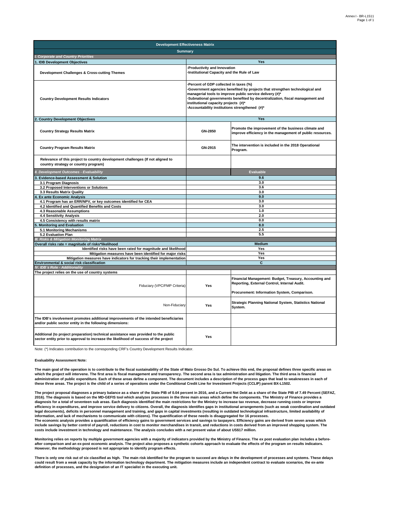| <b>Development Effectiveness Matrix</b>                                                                                                                                     |                                                                                                                                                                                                                                                                                                                                                               |                                                                                                                                                        |  |  |  |  |  |  |  |
|-----------------------------------------------------------------------------------------------------------------------------------------------------------------------------|---------------------------------------------------------------------------------------------------------------------------------------------------------------------------------------------------------------------------------------------------------------------------------------------------------------------------------------------------------------|--------------------------------------------------------------------------------------------------------------------------------------------------------|--|--|--|--|--|--|--|
| <b>Summary</b>                                                                                                                                                              |                                                                                                                                                                                                                                                                                                                                                               |                                                                                                                                                        |  |  |  |  |  |  |  |
| <b>Corporate and Country Priorities</b>                                                                                                                                     |                                                                                                                                                                                                                                                                                                                                                               |                                                                                                                                                        |  |  |  |  |  |  |  |
| . IDB Development Objectives                                                                                                                                                |                                                                                                                                                                                                                                                                                                                                                               | Yes                                                                                                                                                    |  |  |  |  |  |  |  |
| Development Challenges & Cross-cutting Themes                                                                                                                               | Productivity and Innovation<br>Institutional Capacity and the Rule of Law                                                                                                                                                                                                                                                                                     |                                                                                                                                                        |  |  |  |  |  |  |  |
| <b>Country Development Results Indicators</b>                                                                                                                               | -Percent of GDP collected in taxes (%)<br>-Government agencies benefited by projects that strengthen technological and<br>managerial tools to improve public service delivery (#)*<br>-Subnational governments benefited by decentralization, fiscal management and<br>institutional capacity projects (#)*<br>-Accountability institutions strengthened (#)* |                                                                                                                                                        |  |  |  |  |  |  |  |
| 2. Country Development Objectives                                                                                                                                           |                                                                                                                                                                                                                                                                                                                                                               | Yes                                                                                                                                                    |  |  |  |  |  |  |  |
| <b>Country Strategy Results Matrix</b>                                                                                                                                      | GN-2850                                                                                                                                                                                                                                                                                                                                                       | Promote the improvement of the business climate and<br>improve efficiency in the management of public resources.                                       |  |  |  |  |  |  |  |
| <b>Country Program Results Matrix</b>                                                                                                                                       | GN-2915                                                                                                                                                                                                                                                                                                                                                       | The intervention is included in the 2018 Operational<br>Program.                                                                                       |  |  |  |  |  |  |  |
| Relevance of this project to country development challenges (If not aligned to<br>country strategy or country program)                                                      |                                                                                                                                                                                                                                                                                                                                                               |                                                                                                                                                        |  |  |  |  |  |  |  |
| <b>Development Outcomes - Evaluability</b>                                                                                                                                  |                                                                                                                                                                                                                                                                                                                                                               | <b>Evaluable</b>                                                                                                                                       |  |  |  |  |  |  |  |
| <b>Evidence-based Assessment &amp; Solution</b>                                                                                                                             |                                                                                                                                                                                                                                                                                                                                                               | 9.6                                                                                                                                                    |  |  |  |  |  |  |  |
| 3.1 Program Diagnosis                                                                                                                                                       |                                                                                                                                                                                                                                                                                                                                                               | 3.0                                                                                                                                                    |  |  |  |  |  |  |  |
| 3.2 Proposed Interventions or Solutions                                                                                                                                     |                                                                                                                                                                                                                                                                                                                                                               | 3.6                                                                                                                                                    |  |  |  |  |  |  |  |
| 3.3 Results Matrix Quality                                                                                                                                                  |                                                                                                                                                                                                                                                                                                                                                               | 3.0                                                                                                                                                    |  |  |  |  |  |  |  |
| <b>Ex ante Economic Analysis</b>                                                                                                                                            | 9.0                                                                                                                                                                                                                                                                                                                                                           |                                                                                                                                                        |  |  |  |  |  |  |  |
| 4.1 Program has an ERR/NPV, or key outcomes identified for CEA                                                                                                              | 3.0                                                                                                                                                                                                                                                                                                                                                           |                                                                                                                                                        |  |  |  |  |  |  |  |
| 4.2 Identified and Quantified Benefits and Costs                                                                                                                            | 3.0                                                                                                                                                                                                                                                                                                                                                           |                                                                                                                                                        |  |  |  |  |  |  |  |
| 4.3 Reasonable Assumptions<br>4.4 Sensitivity Analysis                                                                                                                      | 1.0                                                                                                                                                                                                                                                                                                                                                           |                                                                                                                                                        |  |  |  |  |  |  |  |
| 4.5 Consistency with results matrix                                                                                                                                         | 2.0<br>0.0                                                                                                                                                                                                                                                                                                                                                    |                                                                                                                                                        |  |  |  |  |  |  |  |
| <b>Monitoring and Evaluation</b>                                                                                                                                            |                                                                                                                                                                                                                                                                                                                                                               | 8.0                                                                                                                                                    |  |  |  |  |  |  |  |
| 5.1 Monitoring Mechanisms                                                                                                                                                   |                                                                                                                                                                                                                                                                                                                                                               | 2.5                                                                                                                                                    |  |  |  |  |  |  |  |
| 5.2 Evaluation Plan                                                                                                                                                         |                                                                                                                                                                                                                                                                                                                                                               | 5.5                                                                                                                                                    |  |  |  |  |  |  |  |
| III. Risks & Mitigation Monitoring Matrix                                                                                                                                   |                                                                                                                                                                                                                                                                                                                                                               |                                                                                                                                                        |  |  |  |  |  |  |  |
| Overall risks rate = magnitude of risks*likelihood                                                                                                                          |                                                                                                                                                                                                                                                                                                                                                               | <b>Medium</b>                                                                                                                                          |  |  |  |  |  |  |  |
| Identified risks have been rated for magnitude and likelihood                                                                                                               |                                                                                                                                                                                                                                                                                                                                                               | Yes                                                                                                                                                    |  |  |  |  |  |  |  |
| Mitigation measures have been identified for major risks                                                                                                                    |                                                                                                                                                                                                                                                                                                                                                               | Yes                                                                                                                                                    |  |  |  |  |  |  |  |
| Mitigation measures have indicators for tracking their implementation                                                                                                       |                                                                                                                                                                                                                                                                                                                                                               | Yes                                                                                                                                                    |  |  |  |  |  |  |  |
| Environmental & social risk classification                                                                                                                                  |                                                                                                                                                                                                                                                                                                                                                               | C.                                                                                                                                                     |  |  |  |  |  |  |  |
| IV. IDB's Role - Additionality                                                                                                                                              |                                                                                                                                                                                                                                                                                                                                                               |                                                                                                                                                        |  |  |  |  |  |  |  |
| The project relies on the use of country systems                                                                                                                            |                                                                                                                                                                                                                                                                                                                                                               |                                                                                                                                                        |  |  |  |  |  |  |  |
| Fiduciary (VPC/FMP Criteria)                                                                                                                                                | Yes                                                                                                                                                                                                                                                                                                                                                           | Financial Management: Budget, Treasury, Accounting and<br>Reporting, External Control, Internal Audit.<br>Procurement: Information System, Comparison. |  |  |  |  |  |  |  |
|                                                                                                                                                                             |                                                                                                                                                                                                                                                                                                                                                               | <b>Strategic Planning National System, Statistics National</b>                                                                                         |  |  |  |  |  |  |  |
| Non-Fiduciary                                                                                                                                                               | Yes                                                                                                                                                                                                                                                                                                                                                           | System.                                                                                                                                                |  |  |  |  |  |  |  |
| The IDB's involvement promotes additional improvements of the intended beneficiaries<br>and/or public sector entity in the following dimensions:                            |                                                                                                                                                                                                                                                                                                                                                               |                                                                                                                                                        |  |  |  |  |  |  |  |
| Additional (to project preparation) technical assistance was provided to the public<br>sector entity prior to approval to increase the likelihood of success of the project | Yes                                                                                                                                                                                                                                                                                                                                                           |                                                                                                                                                        |  |  |  |  |  |  |  |

Note: (\*) Indicates contribution to the corresponding CRF's Country Development Results Indicator.

#### **Evaluability Assessment Note:**

**The main goal of the operation is to contribute to the fiscal sustainability of the State of Mato Grosso Do Sul. To achieve this end, the proposal defines three specific areas on**  which the project will intervene. The first area is fiscal management and transparency. The second area is tax administration and litigation. The third area is financial<br>administration of public expenditure. Each of these **these three areas. The project is the child of a series of operations under the Conditional Credit Line for Investment Projects (CCLIP) parent BX-L1502.**

**The project proposal diagnoses a primary balance as a share of the State PIB of 0.04 percent in 2016, and a Current Net Debt as a share of the State PIB of 7.49 Percent (SEFAZ, 2016). The diagnosis is based on the MD-GEFIS tool which analyzes processes in the three main areas which define the components. The Ministry of Finance provides a**  diagnosis for a total of seventeen sub areas. Each diagnosis identified the main restrictions for the Ministry to increase tax revenue, decrease running costs or improve<br>efficiency in expenditures, and improve service deli **legal documents), deficits in personnel management and training, and gaps in capital investments (resulting in outdated technological infrastructure, limited availability of information, and lack of mechanisms to communicate with citizens). The quantification of these needs is disaggregated for 16 processes.** 

**The economic analysis provides a quantification of efficiency gains to government services and savings to taxpayers. Efficiency gains are derived from seven areas which**  include savings by better control of payroll, reductions in cost to monitor merchandises in transit, and reductions in costs derived from an improved shopping system. The<br>costs include investment in technology and maintena

Monitoring relies on reports by multiple government agencies with a majority of indicators provided by the Ministry of Finance. The ex post evaluation plan includes a before-<br>after comparison and an ex-post economic analys **However, the methodology proposed is not appropriate to identify program effects.**

**There is only one risk out of six classified as high. The main risk identified for the program to succeed are delays in the development of processes and systems. These delays could result from a weak capacity by the information technology department. The mitigation measures include an independent contract to evaluate scenarios, the ex-ante definition of processes, and the designation of an IT specialist in the executing unit.**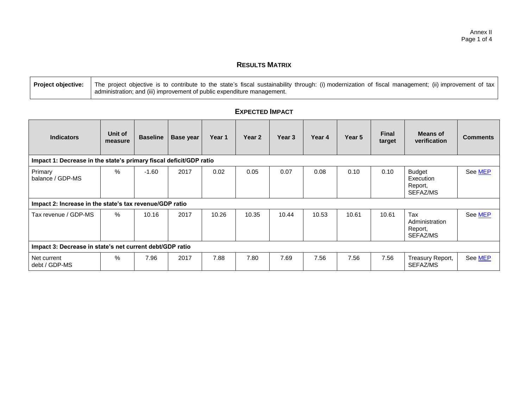## **RESULTS MATRIX**

| Project objective: The project objective is to contribute to the state's fiscal sustainability through: (i) modernization of fiscal management; (ii) improvement of tax |
|-------------------------------------------------------------------------------------------------------------------------------------------------------------------------|
| I administration; and (iii) improvement of public expenditure management.                                                                                               |

| <b>Indicators</b>                                                  | Unit of<br>measure                                       | <b>Baseline</b> | <b>Base year</b> | Year 1 | Year 2 | Year <sub>3</sub> | Year 4 | Year 5 | <b>Final</b><br>target | Means of<br>verification                          | <b>Comments</b> |
|--------------------------------------------------------------------|----------------------------------------------------------|-----------------|------------------|--------|--------|-------------------|--------|--------|------------------------|---------------------------------------------------|-----------------|
| Impact 1: Decrease in the state's primary fiscal deficit/GDP ratio |                                                          |                 |                  |        |        |                   |        |        |                        |                                                   |                 |
| Primary<br>balance / GDP-MS                                        | %                                                        | $-1.60$         | 2017             | 0.02   | 0.05   | 0.07              | 0.08   | 0.10   | 0.10                   | <b>Budget</b><br>Execution<br>Report,<br>SEFAZ/MS | See MEP         |
| Impact 2: Increase in the state's tax revenue/GDP ratio            |                                                          |                 |                  |        |        |                   |        |        |                        |                                                   |                 |
| Tax revenue / GDP-MS                                               | $\%$                                                     | 10.16           | 2017             | 10.26  | 10.35  | 10.44             | 10.53  | 10.61  | 10.61                  | Tax<br>Administration<br>Report,<br>SEFAZ/MS      | See MEP         |
|                                                                    | Impact 3: Decrease in state's net current debt/GDP ratio |                 |                  |        |        |                   |        |        |                        |                                                   |                 |
| Net current<br>debt / GDP-MS                                       | %                                                        | 7.96            | 2017             | 7.88   | 7.80   | 7.69              | 7.56   | 7.56   | 7.56                   | Treasury Report,<br>SEFAZ/MS                      | See MEP         |

# **EXPECTED IMPACT**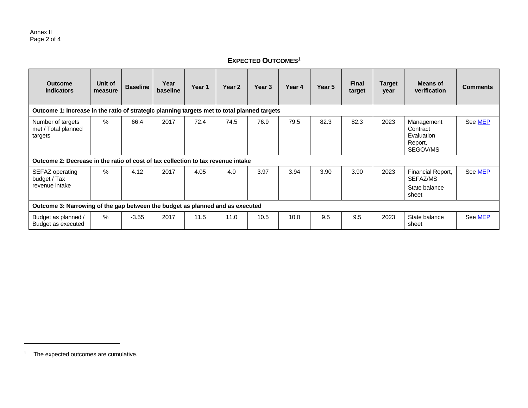# **EXPECTED OUTCOMES**<sup>1</sup>

| <b>Outcome</b><br>indicators                                                                | Unit of<br>measure                                                            | <b>Baseline</b> | Year<br>baseline | Year 1 | Year 2 | Year 3 | Year 4 | Year 5 | <b>Final</b><br>target | <b>Target</b><br>year | <b>Means of</b><br>verification                             | <b>Comments</b> |
|---------------------------------------------------------------------------------------------|-------------------------------------------------------------------------------|-----------------|------------------|--------|--------|--------|--------|--------|------------------------|-----------------------|-------------------------------------------------------------|-----------------|
| Outcome 1: Increase in the ratio of strategic planning targets met to total planned targets |                                                                               |                 |                  |        |        |        |        |        |                        |                       |                                                             |                 |
| Number of targets<br>met / Total planned<br>targets                                         | $\%$                                                                          | 66.4            | 2017             | 72.4   | 74.5   | 76.9   | 79.5   | 82.3   | 82.3                   | 2023                  | Management<br>Contract<br>Evaluation<br>Report,<br>SEGOV/MS | See MEP         |
| Outcome 2: Decrease in the ratio of cost of tax collection to tax revenue intake            |                                                                               |                 |                  |        |        |        |        |        |                        |                       |                                                             |                 |
| SEFAZ operating<br>budget / Tax<br>revenue intake                                           | $\%$                                                                          | 4.12            | 2017             | 4.05   | 4.0    | 3.97   | 3.94   | 3.90   | 3.90                   | 2023                  | Financial Report,<br>SEFAZ/MS<br>State balance<br>sheet     | See MEP         |
|                                                                                             | Outcome 3: Narrowing of the gap between the budget as planned and as executed |                 |                  |        |        |        |        |        |                        |                       |                                                             |                 |
| Budget as planned /<br>Budget as executed                                                   | %                                                                             | $-3.55$         | 2017             | 11.5   | 11.0   | 10.5   | 10.0   | 9.5    | 9.5                    | 2023                  | State balance<br>sheet                                      | See MEP         |

<sup>1</sup> The expected outcomes are cumulative.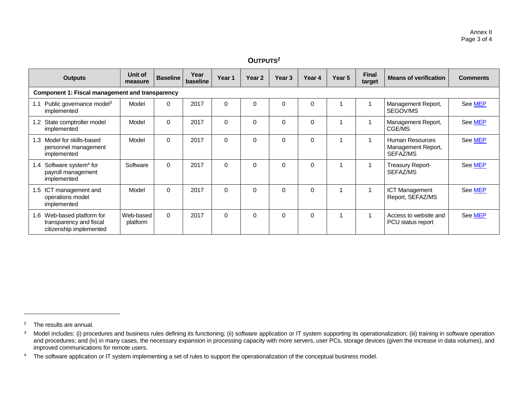#### **OUTPUTS<sup>2</sup> Outputs Unit of measure Baseline Year baseline Year 1 Year 2 Year 3 Year 4 Year 5 Final target Means of verification Comments Component 1: Fiscal management and transparency** Model | 0 | 2017 | 0 | 0 | 0 | 0 | 1 | 1 | Management Report, SEGOV/MS Se[e MEP](https://idbg.sharepoint.com/teams/EZ-BR-LON/BR-L1501/_layouts/15/DocIdRedir.aspx?ID=EZSHARE-745577444-9) Model | 0 | 2017 | 0 | 0 | 0 | 0 | 1 | 1 | Management Report, CGE/MS Se[e MEP](https://idbg.sharepoint.com/teams/EZ-BR-LON/BR-L1501/_layouts/15/DocIdRedir.aspx?ID=EZSHARE-745577444-9) Model | 0 | 2017 | 0 | 0 | 0 | 0 | 1 | 1 | Human Resources Se[e MEP](https://idbg.sharepoint.com/teams/EZ-BR-LON/BR-L1501/_layouts/15/DocIdRedir.aspx?ID=EZSHARE-745577444-9)

1.1 Public governance model<sup>3</sup> implemented

1.2 State comptroller model implemented

1.3 Model for skills-based personnel management

1.4 Software system<sup>4</sup> for payroll management implemented

1.5 ICT management and operations model implemented

1.6 Web-based platform for transparency and fiscal citizenship implemented Web-based platform

implemented

Software 0 2017 0 0 0 0 0 1 1 1 Treasury Report-

Model | 0 | 2017 | 0 | 0 | 0 | 0 | 1 | 1 | ICT Management

0 2017 0 0 0 0 0 0 1 1 1 Access to website and

Se[e MEP](https://idbg.sharepoint.com/teams/EZ-BR-LON/BR-L1501/_layouts/15/DocIdRedir.aspx?ID=EZSHARE-745577444-9)

Se[e MEP](https://idbg.sharepoint.com/teams/EZ-BR-LON/BR-L1501/_layouts/15/DocIdRedir.aspx?ID=EZSHARE-745577444-9)

Se[e MEP](https://idbg.sharepoint.com/teams/EZ-BR-LON/BR-L1501/_layouts/15/DocIdRedir.aspx?ID=EZSHARE-745577444-9)

Management Report,

Report, SEFAZ/MS

PCU status report

SEFAZ/MS

SEFAZ/MS

<sup>2</sup> The results are annual.

<sup>&</sup>lt;sup>3</sup> Model includes: (i) procedures and business rules defining its functioning; (ii) software application or IT system supporting its operationalization; (iii) training in software operation and procedures; and (iv) in many cases, the necessary expansion in processing capacity with more servers, user PCs, storage devices (given the increase in data volumes), and improved communications for remote users.

<sup>&</sup>lt;sup>4</sup> The software application or IT system implementing a set of rules to support the operationalization of the conceptual business model.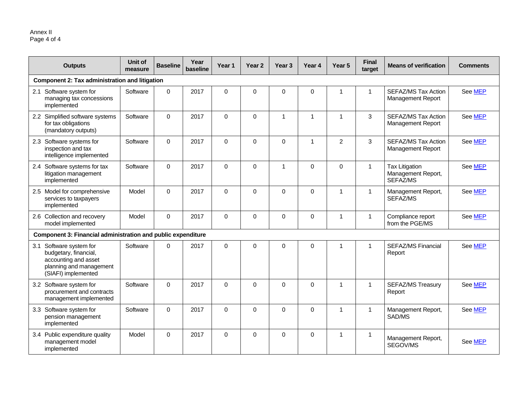| <b>Outputs</b>                                                                                                             | Unit of<br>measure | <b>Baseline</b> | Year<br>baseline | Year <sub>1</sub> | Year <sub>2</sub> | Year <sub>3</sub> | Year 4       | Year <sub>5</sub> | <b>Final</b><br>target | <b>Means of verification</b>                            | <b>Comments</b> |  |
|----------------------------------------------------------------------------------------------------------------------------|--------------------|-----------------|------------------|-------------------|-------------------|-------------------|--------------|-------------------|------------------------|---------------------------------------------------------|-----------------|--|
| Component 2: Tax administration and litigation                                                                             |                    |                 |                  |                   |                   |                   |              |                   |                        |                                                         |                 |  |
| 2.1 Software system for<br>managing tax concessions<br>implemented                                                         | Software           | $\mathbf 0$     | 2017             | $\Omega$          | $\Omega$          | $\Omega$          | 0            | 1                 | $\mathbf{1}$           | SEFAZ/MS Tax Action<br>Management Report                | See MEP         |  |
| 2.2 Simplified software systems<br>for tax obligations<br>(mandatory outputs)                                              | Software           | $\mathbf 0$     | 2017             | $\Omega$          | $\Omega$          | $\mathbf{1}$      | $\mathbf{1}$ | $\overline{1}$    | 3                      | SEFAZ/MS Tax Action<br><b>Management Report</b>         | See MEP         |  |
| 2.3 Software systems for<br>inspection and tax<br>intelligence implemented                                                 | Software           | $\mathbf 0$     | 2017             | $\Omega$          | $\Omega$          | $\mathbf 0$       |              | $\overline{2}$    | 3                      | SEFAZ/MS Tax Action<br><b>Management Report</b>         | See MEP         |  |
| 2.4 Software systems for tax<br>litigation management<br>implemented                                                       | Software           | $\Omega$        | 2017             | $\Omega$          | $\Omega$          | $\mathbf{1}$      | $\Omega$     | $\Omega$          | $\mathbf{1}$           | <b>Tax Litigation</b><br>Management Report,<br>SEFAZ/MS | See MEP         |  |
| 2.5 Model for comprehensive<br>services to taxpayers<br>implemented                                                        | Model              | $\mathbf 0$     | 2017             | $\Omega$          | $\Omega$          | $\Omega$          | $\Omega$     | 1                 | 1                      | Management Report,<br>SEFAZ/MS                          | See MEP         |  |
| 2.6 Collection and recovery<br>model implemented                                                                           | Model              | $\Omega$        | 2017             | $\Omega$          | $\Omega$          | $\Omega$          | $\Omega$     | 1                 | 1                      | Compliance report<br>from the PGE/MS                    | See MEP         |  |
| Component 3: Financial administration and public expenditure                                                               |                    |                 |                  |                   |                   |                   |              |                   |                        |                                                         |                 |  |
| 3.1 Software system for<br>budgetary, financial,<br>accounting and asset<br>planning and management<br>(SIAFI) implemented | Software           | $\mathbf 0$     | 2017             | $\Omega$          | 0                 | $\mathbf 0$       | $\mathbf 0$  | 1                 | $\mathbf{1}$           | <b>SEFAZ/MS Financial</b><br>Report                     | See MEP         |  |
| 3.2 Software system for<br>procurement and contracts<br>management implemented                                             | Software           | $\mathbf 0$     | 2017             | $\Omega$          | $\Omega$          | $\mathbf 0$       | $\Omega$     | 1                 | $\mathbf{1}$           | <b>SEFAZ/MS Treasury</b><br>Report                      | See MEP         |  |
| 3.3 Software system for<br>pension management<br>implemented                                                               | Software           | $\Omega$        | 2017             | $\Omega$          | $\Omega$          | $\Omega$          | $\Omega$     | 1                 | $\mathbf{1}$           | Management Report,<br>SAD/MS                            | See MEP         |  |
| 3.4 Public expenditure quality<br>management model<br>implemented                                                          | Model              | $\mathbf 0$     | 2017             | $\Omega$          | $\Omega$          | $\mathbf 0$       | $\Omega$     | 1                 | $\mathbf{1}$           | Management Report,<br>SEGOV/MS                          | See MEP         |  |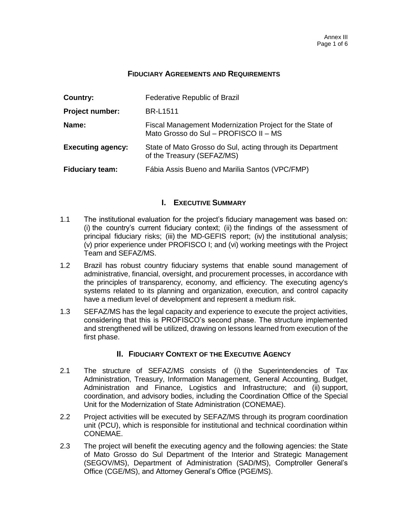#### **FIDUCIARY AGREEMENTS AND REQUIREMENTS**

| Country:                 | Federative Republic of Brazil                                                                     |
|--------------------------|---------------------------------------------------------------------------------------------------|
| <b>Project number:</b>   | <b>BR-L1511</b>                                                                                   |
| Name:                    | Fiscal Management Modernization Project for the State of<br>Mato Grosso do Sul - PROFISCO II - MS |
| <b>Executing agency:</b> | State of Mato Grosso do Sul, acting through its Department<br>of the Treasury (SEFAZ/MS)          |
| <b>Fiduciary team:</b>   | Fábia Assis Bueno and Marilia Santos (VPC/FMP)                                                    |

#### **I. EXECUTIVE SUMMARY**

- 1.1 The institutional evaluation for the project's fiduciary management was based on: (i) the country's current fiduciary context; (ii) the findings of the assessment of principal fiduciary risks; (iii) the MD-GEFIS report; (iv) the institutional analysis; (v) prior experience under PROFISCO I; and (vi) working meetings with the Project Team and SEFAZ/MS.
- 1.2 Brazil has robust country fiduciary systems that enable sound management of administrative, financial, oversight, and procurement processes, in accordance with the principles of transparency, economy, and efficiency. The executing agency's systems related to its planning and organization, execution, and control capacity have a medium level of development and represent a medium risk.
- 1.3 SEFAZ/MS has the legal capacity and experience to execute the project activities, considering that this is PROFISCO's second phase. The structure implemented and strengthened will be utilized, drawing on lessons learned from execution of the first phase.

#### **II. FIDUCIARY CONTEXT OF THE EXECUTIVE AGENCY**

- 2.1 The structure of SEFAZ/MS consists of (i) the Superintendencies of Tax Administration, Treasury, Information Management, General Accounting, Budget, Administration and Finance, Logistics and Infrastructure; and (ii) support, coordination, and advisory bodies, including the Coordination Office of the Special Unit for the Modernization of State Administration (CONEMAE).
- 2.2 Project activities will be executed by SEFAZ/MS through its program coordination unit (PCU), which is responsible for institutional and technical coordination within CONEMAE.
- 2.3 The project will benefit the executing agency and the following agencies: the State of Mato Grosso do Sul Department of the Interior and Strategic Management (SEGOV/MS), Department of Administration (SAD/MS), Comptroller General's Office (CGE/MS), and Attorney General's Office (PGE/MS).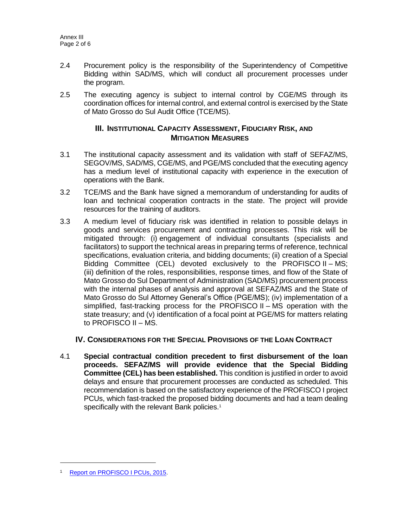- 2.4 Procurement policy is the responsibility of the Superintendency of Competitive Bidding within SAD/MS, which will conduct all procurement processes under the program.
- 2.5 The executing agency is subject to internal control by CGE/MS through its coordination offices for internal control, and external control is exercised by the State of Mato Grosso do Sul Audit Office (TCE/MS).

#### **III. INSTITUTIONAL CAPACITY ASSESSMENT, FIDUCIARY RISK, AND MITIGATION MEASURES**

- 3.1 The institutional capacity assessment and its validation with staff of SEFAZ/MS, SEGOV/MS, SAD/MS, CGE/MS, and PGE/MS concluded that the executing agency has a medium level of institutional capacity with experience in the execution of operations with the Bank.
- 3.2 TCE/MS and the Bank have signed a memorandum of understanding for audits of loan and technical cooperation contracts in the state. The project will provide resources for the training of auditors.
- 3.3 A medium level of fiduciary risk was identified in relation to possible delays in goods and services procurement and contracting processes. This risk will be mitigated through: (i) engagement of individual consultants (specialists and facilitators) to support the technical areas in preparing terms of reference, technical specifications, evaluation criteria, and bidding documents; (ii) creation of a Special Bidding Committee (CEL) devoted exclusively to the PROFISCO II – MS; (iii) definition of the roles, responsibilities, response times, and flow of the State of Mato Grosso do Sul Department of Administration (SAD/MS) procurement process with the internal phases of analysis and approval at SEFAZ/MS and the State of Mato Grosso do Sul Attorney General's Office (PGE/MS); (iv) implementation of a simplified, fast-tracking process for the PROFISCO II – MS operation with the state treasury; and (v) identification of a focal point at PGE/MS for matters relating to PROFISCO II – MS.

## **IV. CONSIDERATIONS FOR THE SPECIAL PROVISIONS OF THE LOAN CONTRACT**

4.1 **Special contractual condition precedent to first disbursement of the loan proceeds. SEFAZ/MS will provide evidence that the Special Bidding Committee (CEL) has been established.** This condition is justified in order to avoid delays and ensure that procurement processes are conducted as scheduled. This recommendation is based on the satisfactory experience of the PROFISCO I project PCUs, which fast-tracked the proposed bidding documents and had a team dealing specifically with the relevant Bank policies.<sup>1</sup>

<sup>&</sup>lt;sup>1</sup> [Report on PROFISCO I](https://idbg.sharepoint.com/_layouts/15/DocIdRedir.aspx?ID=EZSHARE-673533251-3) PCUs, 2015.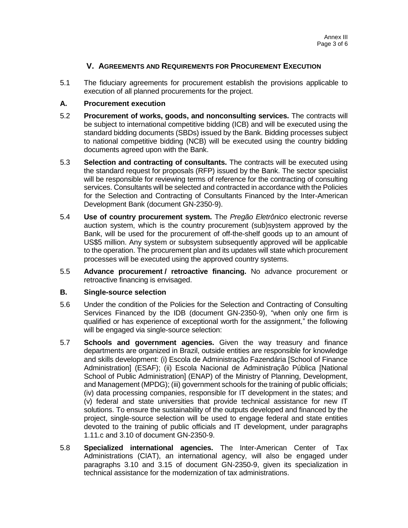## **V. AGREEMENTS AND REQUIREMENTS FOR PROCUREMENT EXECUTION**

5.1 The fiduciary agreements for procurement establish the provisions applicable to execution of all planned procurements for the project.

## **A. Procurement execution**

- 5.2 **Procurement of works, goods, and nonconsulting services.** The contracts will be subject to international competitive bidding (ICB) and will be executed using the standard bidding documents (SBDs) issued by the Bank. Bidding processes subject to national competitive bidding (NCB) will be executed using the country bidding documents agreed upon with the Bank.
- 5.3 **Selection and contracting of consultants.** The contracts will be executed using the standard request for proposals (RFP) issued by the Bank. The sector specialist will be responsible for reviewing terms of reference for the contracting of consulting services. Consultants will be selected and contracted in accordance with the Policies for the Selection and Contracting of Consultants Financed by the Inter-American Development Bank (document GN-2350-9).
- 5.4 **Use of country procurement system.** The *Pregão Eletrônico* electronic reverse auction system, which is the country procurement (sub)system approved by the Bank, will be used for the procurement of off-the-shelf goods up to an amount of US\$5 million. Any system or subsystem subsequently approved will be applicable to the operation. The procurement plan and its updates will state which procurement processes will be executed using the approved country systems.
- 5.5 **Advance procurement / retroactive financing.** No advance procurement or retroactive financing is envisaged.

#### **B. Single-source selection**

- 5.6 Under the condition of the Policies for the Selection and Contracting of Consulting Services Financed by the IDB (document GN-2350-9), "when only one firm is qualified or has experience of exceptional worth for the assignment," the following will be engaged via single-source selection:
- 5.7 **Schools and government agencies.** Given the way treasury and finance departments are organized in Brazil, outside entities are responsible for knowledge and skills development: (i) Escola de Administração Fazendária [School of Finance Administration] (ESAF); (ii) Escola Nacional de Administração Pública [National School of Public Administration] (ENAP) of the Ministry of Planning, Development, and Management (MPDG); (iii) government schools for the training of public officials; (iv) data processing companies, responsible for IT development in the states; and (v) federal and state universities that provide technical assistance for new IT solutions. To ensure the sustainability of the outputs developed and financed by the project, single-source selection will be used to engage federal and state entities devoted to the training of public officials and IT development, under paragraphs 1.11.c and 3.10 of document GN-2350-9.
- 5.8 **Specialized international agencies.** The Inter-American Center of Tax Administrations (CIAT), an international agency, will also be engaged under paragraphs 3.10 and 3.15 of document GN-2350-9, given its specialization in technical assistance for the modernization of tax administrations.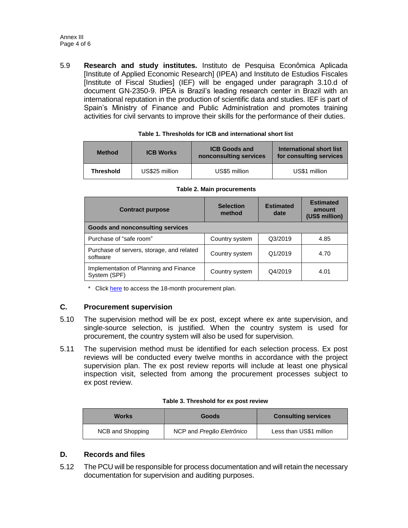5.9 **Research and study institutes.** Instituto de Pesquisa Econômica Aplicada [Institute of Applied Economic Research] (IPEA) and Instituto de Estudios Fiscales [Institute of Fiscal Studies] (IEF) will be engaged under paragraph 3.10.d of document GN-2350-9. IPEA is Brazil's leading research center in Brazil with an international reputation in the production of scientific data and studies. IEF is part of Spain's Ministry of Finance and Public Administration and promotes training activities for civil servants to improve their skills for the performance of their duties.

| <b>Method</b>    | <b>ICB Works</b> | <b>ICB Goods and</b><br>nonconsulting services | International short list<br>for consulting services |
|------------------|------------------|------------------------------------------------|-----------------------------------------------------|
| <b>Threshold</b> | US\$25 million   | US\$5 million                                  | US\$1 million                                       |

**Table 2. Main procurements**

| <b>Contract purpose</b>                                | <b>Selection</b><br>method | <b>Estimated</b><br>date | <b>Estimated</b><br>amount<br>(US\$ million) |  |
|--------------------------------------------------------|----------------------------|--------------------------|----------------------------------------------|--|
| Goods and nonconsulting services                       |                            |                          |                                              |  |
| Purchase of "safe room"                                | Country system             | Q3/2019                  | 4.85                                         |  |
| Purchase of servers, storage, and related<br>software  | Country system             | Q1/2019                  | 4.70                                         |  |
| Implementation of Planning and Finance<br>System (SPF) | Country system             | Q4/2019                  | 4.01                                         |  |

| Table 1. Thresholds for ICB and international short list |  |  |
|----------------------------------------------------------|--|--|
|                                                          |  |  |

\* Click [here](https://idbg.sharepoint.com/teams/EZ-BR-LON/BR-L1511/_layouts/15/DocIdRedir.aspx?ID=EZSHARE-911096986-36) to access the 18-month procurement plan.

#### **C. Procurement supervision**

- 5.10 The supervision method will be ex post, except where ex ante supervision, and single-source selection, is justified. When the country system is used for procurement, the country system will also be used for supervision.
- 5.11 The supervision method must be identified for each selection process. Ex post reviews will be conducted every twelve months in accordance with the project supervision plan. The ex post review reports will include at least one physical inspection visit, selected from among the procurement processes subject to ex post review.

| <b>Works</b>     | Goods                     | <b>Consulting services</b> |
|------------------|---------------------------|----------------------------|
| NCB and Shopping | NCP and Pregão Eletrônico | Less than US\$1 million    |

## **D. Records and files**

5.12 The PCU will be responsible for process documentation and will retain the necessary documentation for supervision and auditing purposes.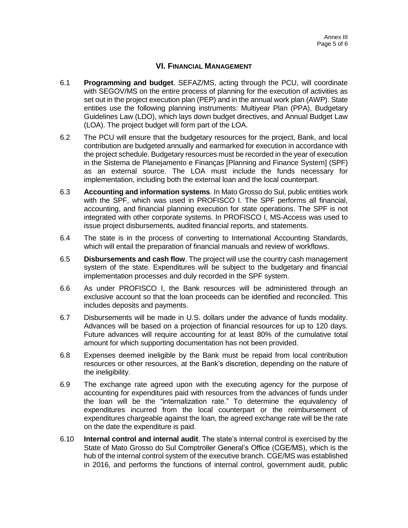## **VI. FINANCIAL MANAGEMENT**

- 6.1 **Programming and budget**. SEFAZ/MS, acting through the PCU, will coordinate with SEGOV/MS on the entire process of planning for the execution of activities as set out in the project execution plan (PEP) and in the annual work plan (AWP). State entities use the following planning instruments: Multiyear Plan (PPA), Budgetary Guidelines Law (LDO), which lays down budget directives, and Annual Budget Law (LOA). The project budget will form part of the LOA.
- 6.2 The PCU will ensure that the budgetary resources for the project, Bank, and local contribution are budgeted annually and earmarked for execution in accordance with the project schedule. Budgetary resources must be recorded in the year of execution in the Sistema de Planejamento e Finanças [Planning and Finance System] (SPF) as an external source. The LOA must include the funds necessary for implementation, including both the external loan and the local counterpart.
- 6.3 **Accounting and information systems**. In Mato Grosso do Sul, public entities work with the SPF, which was used in PROFISCO I. The SPF performs all financial, accounting, and financial planning execution for state operations. The SPF is not integrated with other corporate systems. In PROFISCO I, MS-Access was used to issue project disbursements, audited financial reports, and statements.
- 6.4 The state is in the process of converting to International Accounting Standards, which will entail the preparation of financial manuals and review of workflows.
- 6.5 **Disbursements and cash flow**. The project will use the country cash management system of the state. Expenditures will be subject to the budgetary and financial implementation processes and duly recorded in the SPF system.
- 6.6 As under PROFISCO I, the Bank resources will be administered through an exclusive account so that the loan proceeds can be identified and reconciled. This includes deposits and payments.
- 6.7 Disbursements will be made in U.S. dollars under the advance of funds modality. Advances will be based on a projection of financial resources for up to 120 days. Future advances will require accounting for at least 80% of the cumulative total amount for which supporting documentation has not been provided.
- 6.8 Expenses deemed ineligible by the Bank must be repaid from local contribution resources or other resources, at the Bank's discretion, depending on the nature of the ineligibility.
- 6.9 The exchange rate agreed upon with the executing agency for the purpose of accounting for expenditures paid with resources from the advances of funds under the loan will be the "internalization rate." To determine the equivalency of expenditures incurred from the local counterpart or the reimbursement of expenditures chargeable against the loan, the agreed exchange rate will be the rate on the date the expenditure is paid.
- 6.10 **Internal control and internal audit**. The state's internal control is exercised by the State of Mato Grosso do Sul Comptroller General's Office (CGE/MS), which is the hub of the internal control system of the executive branch. CGE/MS was established in 2016, and performs the functions of internal control, government audit, public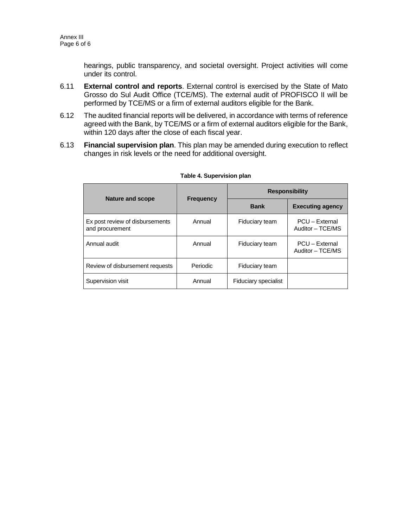hearings, public transparency, and societal oversight. Project activities will come under its control.

- 6.11 **External control and reports**. External control is exercised by the State of Mato Grosso do Sul Audit Office (TCE/MS). The external audit of PROFISCO II will be performed by TCE/MS or a firm of external auditors eligible for the Bank.
- 6.12 The audited financial reports will be delivered, in accordance with terms of reference agreed with the Bank, by TCE/MS or a firm of external auditors eligible for the Bank, within 120 days after the close of each fiscal year.
- 6.13 **Financial supervision plan**. This plan may be amended during execution to reflect changes in risk levels or the need for additional oversight.

|                                                    |                  | <b>Responsibility</b>       |                                    |
|----------------------------------------------------|------------------|-----------------------------|------------------------------------|
| <b>Nature and scope</b>                            | <b>Frequency</b> | <b>Bank</b>                 | <b>Executing agency</b>            |
| Ex post review of disbursements<br>and procurement | Annual           | Fiduciary team              | PCU - External<br>Auditor - TCE/MS |
| Annual audit                                       | Annual           | Fiduciary team              | PCU - External<br>Auditor - TCE/MS |
| Review of disbursement requests                    | Periodic         | Fiduciary team              |                                    |
| Supervision visit                                  | Annual           | <b>Fiduciary specialist</b> |                                    |

#### **Table 4. Supervision plan**